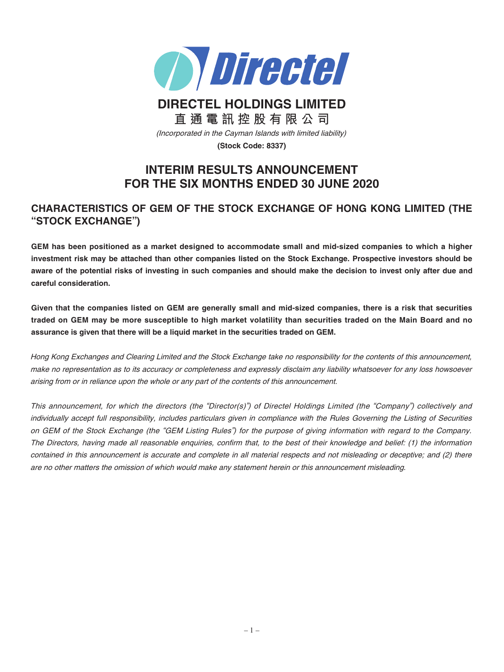

# **DIRECTEL HOLDINGS LIMITED 直通電訊控股有限公司**

(Incorporated in the Cayman Islands with limited liability)

**(Stock Code: 8337)**

# **INTERIM RESULTS ANNOUNCEMENT FOR THE SIX MONTHS ENDED 30 JUNE 2020**

### **CHARACTERISTICS OF GEM OF THE STOCK EXCHANGE OF HONG KONG LIMITED (THE "STOCK EXCHANGE")**

**GEM has been positioned as a market designed to accommodate small and mid-sized companies to which a higher investment risk may be attached than other companies listed on the Stock Exchange. Prospective investors should be aware of the potential risks of investing in such companies and should make the decision to invest only after due and careful consideration.**

**Given that the companies listed on GEM are generally small and mid-sized companies, there is a risk that securities traded on GEM may be more susceptible to high market volatility than securities traded on the Main Board and no assurance is given that there will be a liquid market in the securities traded on GEM.**

Hong Kong Exchanges and Clearing Limited and the Stock Exchange take no responsibility for the contents of this announcement, make no representation as to its accuracy or completeness and expressly disclaim any liability whatsoever for any loss howsoever arising from or in reliance upon the whole or any part of the contents of this announcement.

This announcement, for which the directors (the "Director(s)") of Directel Holdings Limited (the "Company") collectively and individually accept full responsibility, includes particulars given in compliance with the Rules Governing the Listing of Securities on GEM of the Stock Exchange (the "GEM Listing Rules") for the purpose of giving information with regard to the Company. The Directors, having made all reasonable enquiries, confirm that, to the best of their knowledge and belief: (1) the information contained in this announcement is accurate and complete in all material respects and not misleading or deceptive; and (2) there are no other matters the omission of which would make any statement herein or this announcement misleading.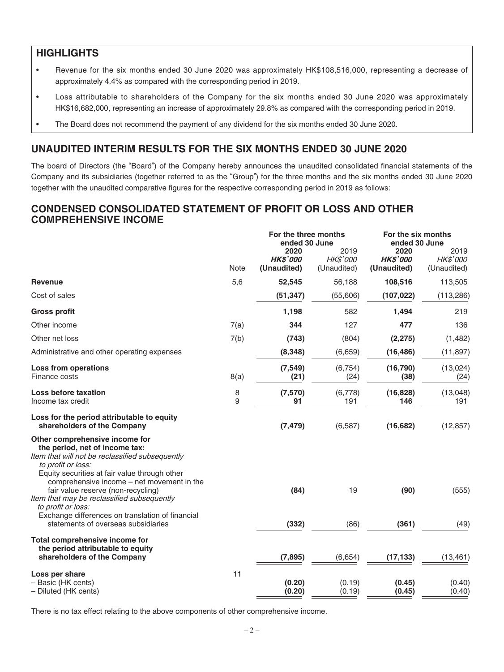### **HIGHLIGHTS**

- Revenue for the six months ended 30 June 2020 was approximately HK\$108,516,000, representing a decrease of approximately 4.4% as compared with the corresponding period in 2019.
- Loss attributable to shareholders of the Company for the six months ended 30 June 2020 was approximately HK\$16,682,000, representing an increase of approximately 29.8% as compared with the corresponding period in 2019.
- The Board does not recommend the payment of any dividend for the six months ended 30 June 2020.

### **UNAUDITED INTERIM RESULTS FOR THE SIX MONTHS ENDED 30 JUNE 2020**

The board of Directors (the "Board") of the Company hereby announces the unaudited consolidated financial statements of the Company and its subsidiaries (together referred to as the "Group") for the three months and the six months ended 30 June 2020 together with the unaudited comparative figures for the respective corresponding period in 2019 as follows:

### **CONDENSED CONSOLIDATED STATEMENT OF PROFIT OR LOSS AND OTHER COMPREHENSIVE INCOME**

|                                                                                                                                                                                                                                                                                |             | For the three months<br>ended 30 June  |                                 | For the six months<br>ended 30 June    |                                 |
|--------------------------------------------------------------------------------------------------------------------------------------------------------------------------------------------------------------------------------------------------------------------------------|-------------|----------------------------------------|---------------------------------|----------------------------------------|---------------------------------|
|                                                                                                                                                                                                                                                                                | <b>Note</b> | 2020<br><b>HK\$'000</b><br>(Unaudited) | 2019<br>HK\$'000<br>(Unaudited) | 2020<br><b>HK\$'000</b><br>(Unaudited) | 2019<br>HK\$'000<br>(Unaudited) |
| <b>Revenue</b>                                                                                                                                                                                                                                                                 | 5,6         | 52,545                                 | 56,188                          | 108,516                                | 113,505                         |
| Cost of sales                                                                                                                                                                                                                                                                  |             | (51, 347)                              | (55,606)                        | (107, 022)                             | (113, 286)                      |
| <b>Gross profit</b>                                                                                                                                                                                                                                                            |             | 1,198                                  | 582                             | 1,494                                  | 219                             |
| Other income                                                                                                                                                                                                                                                                   | 7(a)        | 344                                    | 127                             | 477                                    | 136                             |
| Other net loss                                                                                                                                                                                                                                                                 | 7(b)        | (743)                                  | (804)                           | (2, 275)                               | (1,482)                         |
| Administrative and other operating expenses                                                                                                                                                                                                                                    |             | (8, 348)                               | (6,659)                         | (16, 486)                              | (11, 897)                       |
| Loss from operations<br>Finance costs                                                                                                                                                                                                                                          | 8(a)        | (7, 549)<br>(21)                       | (6, 754)<br>(24)                | (16, 790)<br>(38)                      | (13,024)<br>(24)                |
| Loss before taxation<br>Income tax credit                                                                                                                                                                                                                                      | 8<br>9      | (7,570)<br>91                          | (6,778)<br>191                  | (16, 828)<br>146                       | (13,048)<br>191                 |
| Loss for the period attributable to equity<br>shareholders of the Company                                                                                                                                                                                                      |             | (7, 479)                               | (6, 587)                        | (16, 682)                              | (12, 857)                       |
| Other comprehensive income for<br>the period, net of income tax:<br>Item that will not be reclassified subsequently<br>to profit or loss:<br>Equity securities at fair value through other<br>comprehensive income - net movement in the<br>fair value reserve (non-recycling) |             | (84)                                   | 19                              | (90)                                   | (555)                           |
| Item that may be reclassified subsequently<br>to profit or loss:<br>Exchange differences on translation of financial<br>statements of overseas subsidiaries                                                                                                                    |             | (332)                                  | (86)                            | (361)                                  | (49)                            |
| Total comprehensive income for<br>the period attributable to equity<br>shareholders of the Company                                                                                                                                                                             |             | (7, 895)                               | (6,654)                         | (17, 133)                              | (13, 461)                       |
| Loss per share<br>- Basic (HK cents)<br>- Diluted (HK cents)                                                                                                                                                                                                                   | 11          | (0.20)<br>(0.20)                       | (0.19)<br>(0.19)                | (0.45)<br>(0.45)                       | (0.40)<br>(0.40)                |

There is no tax effect relating to the above components of other comprehensive income.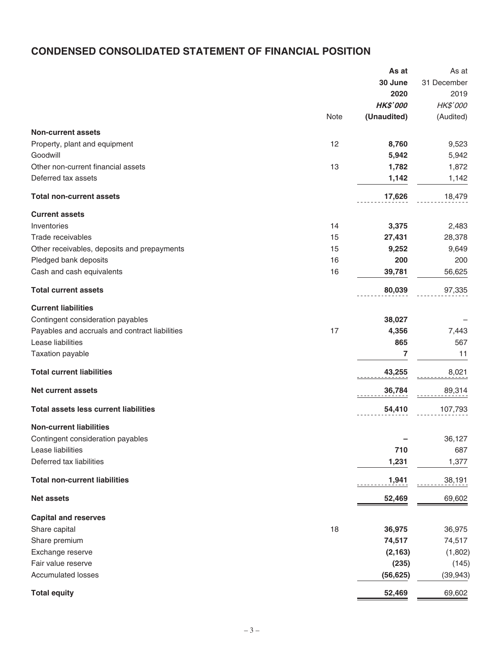# **CONDENSED CONSOLIDATED STATEMENT OF FINANCIAL POSITION**

|                                                |      | As at           | As at       |
|------------------------------------------------|------|-----------------|-------------|
|                                                |      | 30 June         | 31 December |
|                                                |      | 2020            | 2019        |
|                                                |      | <b>HK\$'000</b> | HK\$'000    |
|                                                | Note | (Unaudited)     | (Audited)   |
| <b>Non-current assets</b>                      |      |                 |             |
| Property, plant and equipment                  | 12   | 8,760           | 9,523       |
| Goodwill                                       |      | 5,942           | 5,942       |
| Other non-current financial assets             | 13   | 1,782           | 1,872       |
| Deferred tax assets                            |      | 1,142           | 1,142       |
| <b>Total non-current assets</b>                |      | 17,626          | 18,479      |
| <b>Current assets</b>                          |      |                 |             |
| Inventories                                    | 14   | 3,375           | 2,483       |
| Trade receivables                              | 15   | 27,431          | 28,378      |
| Other receivables, deposits and prepayments    | 15   | 9,252           | 9,649       |
| Pledged bank deposits                          | 16   | 200             | 200         |
| Cash and cash equivalents                      | 16   | 39,781          | 56,625      |
| <b>Total current assets</b>                    |      | 80,039          | 97,335      |
| <b>Current liabilities</b>                     |      |                 |             |
| Contingent consideration payables              |      | 38,027          |             |
| Payables and accruals and contract liabilities | 17   | 4,356           | 7,443       |
| Lease liabilities                              |      | 865             | 567         |
| Taxation payable                               |      | 7               | 11          |
| <b>Total current liabilities</b>               |      | 43,255          | 8,021       |
| <b>Net current assets</b>                      |      | 36,784          | 89,314      |
| <b>Total assets less current liabilities</b>   |      | 54,410          | 107,793     |
| <b>Non-current liabilities</b>                 |      |                 |             |
| Contingent consideration payables              |      |                 | 36,127      |
| Lease liabilities                              |      | 710             | 687         |
| Deferred tax liabilities                       |      | 1,231           | 1,377       |
| <b>Total non-current liabilities</b>           |      | 1,941           | 38,191      |
|                                                |      |                 |             |
| <b>Net assets</b>                              |      | 52,469          | 69,602      |
| <b>Capital and reserves</b>                    |      |                 |             |
| Share capital                                  | 18   | 36,975          | 36,975      |
| Share premium                                  |      | 74,517          | 74,517      |
| Exchange reserve                               |      | (2, 163)        | (1,802)     |
| Fair value reserve                             |      | (235)           | (145)       |
| <b>Accumulated losses</b>                      |      | (56, 625)       | (39, 943)   |
| <b>Total equity</b>                            |      | 52,469          | 69,602      |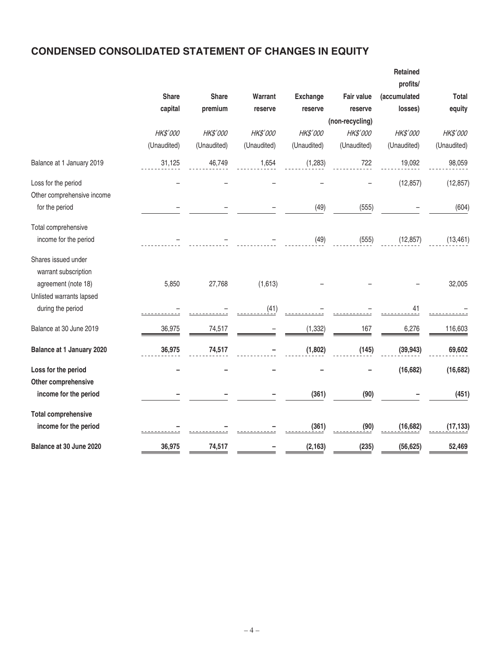# **CONDENSED CONSOLIDATED STATEMENT OF CHANGES IN EQUITY**

|                            |             |              |             |                 |                   | Retained<br>profits/ |              |
|----------------------------|-------------|--------------|-------------|-----------------|-------------------|----------------------|--------------|
|                            | Share       | <b>Share</b> | Warrant     | <b>Exchange</b> | <b>Fair value</b> | (accumulated         | <b>Total</b> |
|                            | capital     | premium      | reserve     | reserve         | reserve           | losses)              | equity       |
|                            |             |              |             |                 | (non-recycling)   |                      |              |
|                            | HK\$'000    | HK\$'000     | HK\$'000    | HK\$'000        | HK\$'000          | HK\$'000             | HK\$'000     |
|                            | (Unaudited) | (Unaudited)  | (Unaudited) | (Unaudited)     | (Unaudited)       | (Unaudited)          | (Unaudited)  |
| Balance at 1 January 2019  | 31,125      | 46,749       | 1,654       | (1, 283)        | 722               | 19,092               | 98,059       |
| Loss for the period        |             |              |             |                 |                   | (12, 857)            | (12, 857)    |
| Other comprehensive income |             |              |             |                 |                   |                      |              |
| for the period             |             |              |             | (49)            | (555)             |                      | (604)        |
| Total comprehensive        |             |              |             |                 |                   |                      |              |
| income for the period      |             |              |             | (49)            | (555)             | (12, 857)            | (13, 461)    |
| Shares issued under        |             |              |             |                 |                   |                      |              |
| warrant subscription       |             |              |             |                 |                   |                      |              |
| agreement (note 18)        | 5,850       | 27,768       | (1,613)     |                 |                   |                      | 32,005       |
| Unlisted warrants lapsed   |             |              |             |                 |                   |                      |              |
| during the period          |             |              | (41)        |                 |                   | 41                   |              |
| Balance at 30 June 2019    | 36,975      | 74,517       |             | (1, 332)        | 167               | 6,276                | 116,603      |
| Balance at 1 January 2020  | 36,975      | 74,517       |             | (1, 802)        | (145)             | (39, 943)            | 69,602       |
| Loss for the period        |             |              |             |                 |                   | (16, 682)            | (16, 682)    |
| Other comprehensive        |             |              |             |                 |                   |                      |              |
| income for the period      |             |              |             | (361)           | (90)              |                      | (451)        |
| <b>Total comprehensive</b> |             |              |             |                 |                   |                      |              |
| income for the period      |             |              |             | (361)           | (90)              | (16, 682)            | (17, 133)    |
| Balance at 30 June 2020    | 36,975      | 74,517       |             | (2, 163)        | (235)             | (56, 625)            | 52,469       |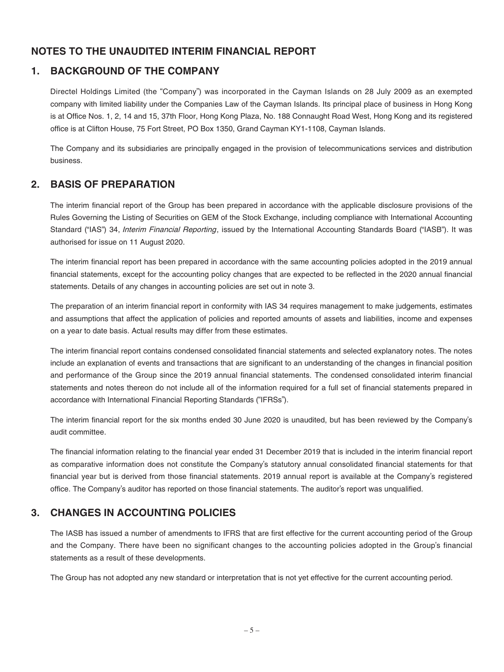### **NOTES TO THE UNAUDITED INTERIM FINANCIAL REPORT**

### **1. BACKGROUND OF THE COMPANY**

Directel Holdings Limited (the "Company") was incorporated in the Cayman Islands on 28 July 2009 as an exempted company with limited liability under the Companies Law of the Cayman Islands. Its principal place of business in Hong Kong is at Office Nos. 1, 2, 14 and 15, 37th Floor, Hong Kong Plaza, No. 188 Connaught Road West, Hong Kong and its registered office is at Clifton House, 75 Fort Street, PO Box 1350, Grand Cayman KY1-1108, Cayman Islands.

The Company and its subsidiaries are principally engaged in the provision of telecommunications services and distribution business.

### **2. BASIS OF PREPARATION**

The interim financial report of the Group has been prepared in accordance with the applicable disclosure provisions of the Rules Governing the Listing of Securities on GEM of the Stock Exchange, including compliance with International Accounting Standard ("IAS") 34, Interim Financial Reporting, issued by the International Accounting Standards Board ("IASB"). It was authorised for issue on 11 August 2020.

The interim financial report has been prepared in accordance with the same accounting policies adopted in the 2019 annual financial statements, except for the accounting policy changes that are expected to be reflected in the 2020 annual financial statements. Details of any changes in accounting policies are set out in note 3.

The preparation of an interim financial report in conformity with IAS 34 requires management to make judgements, estimates and assumptions that affect the application of policies and reported amounts of assets and liabilities, income and expenses on a year to date basis. Actual results may differ from these estimates.

The interim financial report contains condensed consolidated financial statements and selected explanatory notes. The notes include an explanation of events and transactions that are significant to an understanding of the changes in financial position and performance of the Group since the 2019 annual financial statements. The condensed consolidated interim financial statements and notes thereon do not include all of the information required for a full set of financial statements prepared in accordance with International Financial Reporting Standards ("IFRSs").

The interim financial report for the six months ended 30 June 2020 is unaudited, but has been reviewed by the Company's audit committee.

The financial information relating to the financial year ended 31 December 2019 that is included in the interim financial report as comparative information does not constitute the Company's statutory annual consolidated financial statements for that financial year but is derived from those financial statements. 2019 annual report is available at the Company's registered office. The Company's auditor has reported on those financial statements. The auditor's report was unqualified.

### **3. CHANGES IN ACCOUNTING POLICIES**

The IASB has issued a number of amendments to IFRS that are first effective for the current accounting period of the Group and the Company. There have been no significant changes to the accounting policies adopted in the Group's financial statements as a result of these developments.

The Group has not adopted any new standard or interpretation that is not yet effective for the current accounting period.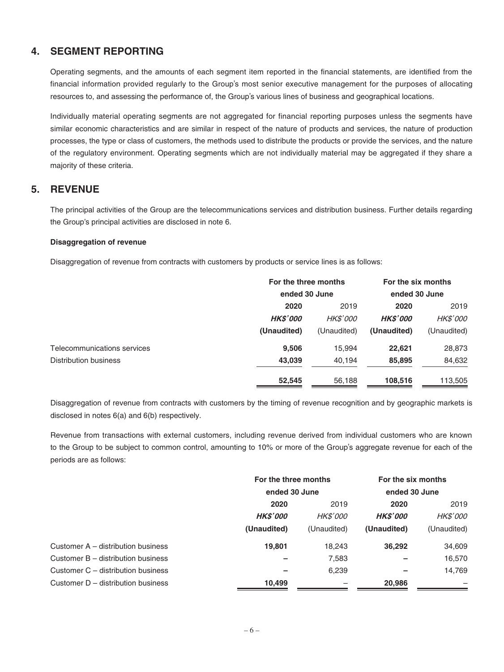### **4. SEGMENT REPORTING**

Operating segments, and the amounts of each segment item reported in the financial statements, are identified from the financial information provided regularly to the Group's most senior executive management for the purposes of allocating resources to, and assessing the performance of, the Group's various lines of business and geographical locations.

Individually material operating segments are not aggregated for financial reporting purposes unless the segments have similar economic characteristics and are similar in respect of the nature of products and services, the nature of production processes, the type or class of customers, the methods used to distribute the products or provide the services, and the nature of the regulatory environment. Operating segments which are not individually material may be aggregated if they share a majority of these criteria.

### **5. REVENUE**

The principal activities of the Group are the telecommunications services and distribution business. Further details regarding the Group's principal activities are disclosed in note 6.

#### **Disaggregation of revenue**

Disaggregation of revenue from contracts with customers by products or service lines is as follows:

|                             | For the three months<br>ended 30 June |                 | For the six months<br>ended 30 June |                 |
|-----------------------------|---------------------------------------|-----------------|-------------------------------------|-----------------|
|                             |                                       |                 |                                     |                 |
|                             | 2020                                  | 2019            | 2020                                | 2019            |
|                             | <b>HKS'000</b>                        | <i>HK\$'000</i> | <b>HKS'000</b>                      | <b>HK\$'000</b> |
|                             | (Unaudited)                           | (Unaudited)     | (Unaudited)                         | (Unaudited)     |
| Telecommunications services | 9,506                                 | 15.994          | 22,621                              | 28,873          |
| Distribution business       | 43,039                                | 40.194          | 85,895                              | 84,632          |
|                             | 52,545                                | 56,188          | 108,516                             | 113,505         |

Disaggregation of revenue from contracts with customers by the timing of revenue recognition and by geographic markets is disclosed in notes 6(a) and 6(b) respectively.

Revenue from transactions with external customers, including revenue derived from individual customers who are known to the Group to be subject to common control, amounting to 10% or more of the Group's aggregate revenue for each of the periods are as follows:

|                                    | For the three months<br>ended 30 June |                 | For the six months<br>ended 30 June |             |
|------------------------------------|---------------------------------------|-----------------|-------------------------------------|-------------|
|                                    |                                       |                 |                                     |             |
|                                    | 2020                                  | 2019            | 2020                                | 2019        |
|                                    | <b>HK\$'000</b>                       | <b>HK\$'000</b> | <b>HKS'000</b>                      | HK\$'000    |
|                                    | (Unaudited)                           | (Unaudited)     | (Unaudited)                         | (Unaudited) |
| Customer A – distribution business | 19,801                                | 18,243          | 36,292                              | 34,609      |
| Customer B – distribution business |                                       | 7,583           |                                     | 16,570      |
| Customer C – distribution business |                                       | 6,239           |                                     | 14,769      |
| Customer D – distribution business | 10,499                                |                 | 20,986                              |             |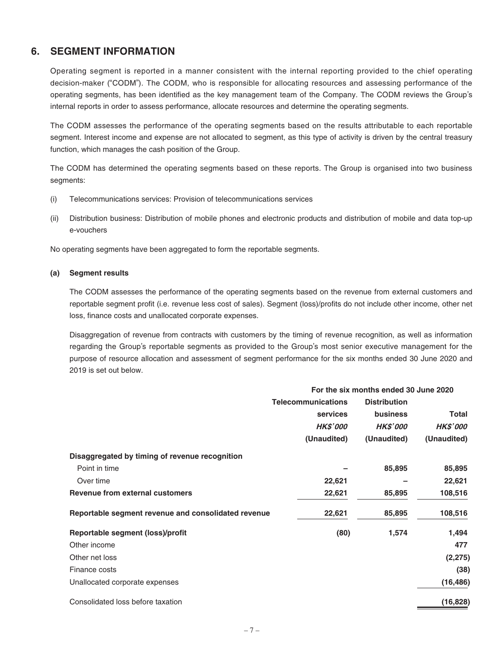### **6. SEGMENT INFORMATION**

Operating segment is reported in a manner consistent with the internal reporting provided to the chief operating decision-maker ("CODM"). The CODM, who is responsible for allocating resources and assessing performance of the operating segments, has been identified as the key management team of the Company. The CODM reviews the Group's internal reports in order to assess performance, allocate resources and determine the operating segments.

The CODM assesses the performance of the operating segments based on the results attributable to each reportable segment. Interest income and expense are not allocated to segment, as this type of activity is driven by the central treasury function, which manages the cash position of the Group.

The CODM has determined the operating segments based on these reports. The Group is organised into two business segments:

- (i) Telecommunications services: Provision of telecommunications services
- (ii) Distribution business: Distribution of mobile phones and electronic products and distribution of mobile and data top-up e-vouchers

No operating segments have been aggregated to form the reportable segments.

#### **(a) Segment results**

The CODM assesses the performance of the operating segments based on the revenue from external customers and reportable segment profit (i.e. revenue less cost of sales). Segment (loss)/profits do not include other income, other net loss, finance costs and unallocated corporate expenses.

Disaggregation of revenue from contracts with customers by the timing of revenue recognition, as well as information regarding the Group's reportable segments as provided to the Group's most senior executive management for the purpose of resource allocation and assessment of segment performance for the six months ended 30 June 2020 and 2019 is set out below.

|                                                     | For the six months ended 30 June 2020 |                     |                 |  |
|-----------------------------------------------------|---------------------------------------|---------------------|-----------------|--|
|                                                     | <b>Telecommunications</b>             | <b>Distribution</b> |                 |  |
|                                                     | services                              | <b>business</b>     | <b>Total</b>    |  |
|                                                     | <b>HK\$'000</b>                       | <b>HK\$'000</b>     | <b>HK\$'000</b> |  |
|                                                     | (Unaudited)                           | (Unaudited)         | (Unaudited)     |  |
| Disaggregated by timing of revenue recognition      |                                       |                     |                 |  |
| Point in time                                       |                                       | 85,895              | 85,895          |  |
| Over time                                           | 22,621                                |                     | 22,621          |  |
| <b>Revenue from external customers</b>              | 22,621                                | 85,895              | 108,516         |  |
| Reportable segment revenue and consolidated revenue | 22,621                                | 85,895              | 108,516         |  |
| Reportable segment (loss)/profit                    | (80)                                  | 1,574               | 1,494           |  |
| Other income                                        |                                       |                     | 477             |  |
| Other net loss                                      |                                       |                     | (2, 275)        |  |
| Finance costs                                       |                                       |                     | (38)            |  |
| Unallocated corporate expenses                      |                                       |                     | (16, 486)       |  |
| Consolidated loss before taxation                   |                                       |                     | (16, 828)       |  |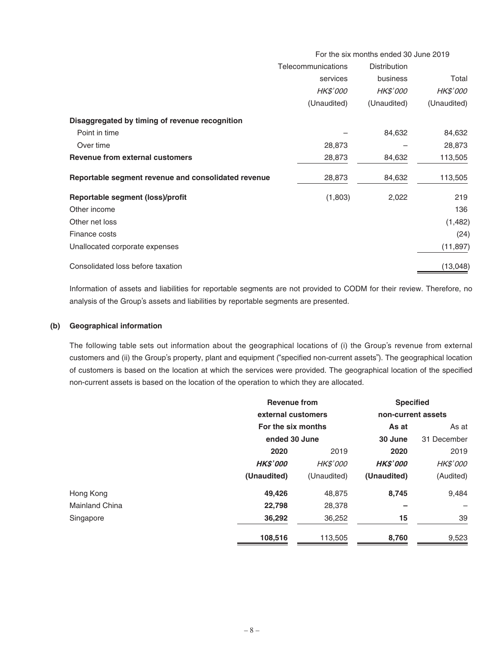|                                                     | For the six months ended 30 June 2019 |                     |                 |  |
|-----------------------------------------------------|---------------------------------------|---------------------|-----------------|--|
|                                                     | Telecommunications                    | <b>Distribution</b> |                 |  |
|                                                     | services                              | business            | Total           |  |
|                                                     | <i>HK\$'000</i>                       | <i>HK\$'000</i>     | <i>HK\$'000</i> |  |
|                                                     | (Unaudited)                           | (Unaudited)         | (Unaudited)     |  |
| Disaggregated by timing of revenue recognition      |                                       |                     |                 |  |
| Point in time                                       |                                       | 84,632              | 84,632          |  |
| Over time                                           | 28,873                                |                     | 28,873          |  |
| <b>Revenue from external customers</b>              | 28,873                                | 84,632              | 113,505         |  |
| Reportable segment revenue and consolidated revenue | 28,873                                | 84,632              | 113,505         |  |
| Reportable segment (loss)/profit                    | (1,803)                               | 2,022               | 219             |  |
| Other income                                        |                                       |                     | 136             |  |
| Other net loss                                      |                                       |                     | (1,482)         |  |
| Finance costs                                       |                                       |                     | (24)            |  |
| Unallocated corporate expenses                      |                                       |                     | (11, 897)       |  |
| Consolidated loss before taxation                   |                                       |                     | (13,048)        |  |

Information of assets and liabilities for reportable segments are not provided to CODM for their review. Therefore, no analysis of the Group's assets and liabilities by reportable segments are presented.

#### **(b) Geographical information**

The following table sets out information about the geographical locations of (i) the Group's revenue from external customers and (ii) the Group's property, plant and equipment ("specified non-current assets"). The geographical location of customers is based on the location at which the services were provided. The geographical location of the specified non-current assets is based on the location of the operation to which they are allocated.

|                       | <b>Revenue from</b> |                 | <b>Specified</b>   |             |
|-----------------------|---------------------|-----------------|--------------------|-------------|
|                       | external customers  |                 | non-current assets |             |
|                       | For the six months  |                 | As at              | As at       |
|                       | ended 30 June       |                 | 30 June            | 31 December |
|                       | 2020                | 2019            | 2020               | 2019        |
|                       | <b>HK\$'000</b>     | <b>HK\$'000</b> | <b>HK\$'000</b>    | HK\$'000    |
|                       | (Unaudited)         | (Unaudited)     | (Unaudited)        | (Audited)   |
| Hong Kong             | 49,426              | 48,875          | 8,745              | 9,484       |
| <b>Mainland China</b> | 22,798              | 28,378          |                    |             |
| Singapore             | 36,292              | 36,252          | 15                 | 39          |
|                       | 108,516             | 113,505         | 8,760              | 9,523       |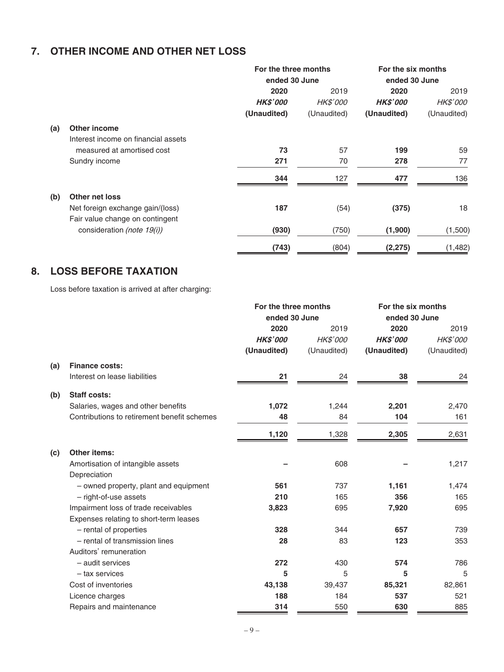# **7. OTHER INCOME AND OTHER NET LOSS**

|     |                                     | For the three months |                 | For the six months |                 |  |
|-----|-------------------------------------|----------------------|-----------------|--------------------|-----------------|--|
|     |                                     | ended 30 June        |                 | ended 30 June      |                 |  |
|     |                                     | 2020                 | 2019            | 2020               | 2019            |  |
|     |                                     | <b>HK\$'000</b>      | <b>HK\$'000</b> | <b>HK\$'000</b>    | <b>HK\$'000</b> |  |
|     |                                     | (Unaudited)          | (Unaudited)     | (Unaudited)        | (Unaudited)     |  |
| (a) | <b>Other income</b>                 |                      |                 |                    |                 |  |
|     | Interest income on financial assets |                      |                 |                    |                 |  |
|     | measured at amortised cost          | 73                   | 57              | 199                | 59              |  |
|     | Sundry income                       | 271                  | 70              | 278                | 77              |  |
|     |                                     | 344                  | 127             | 477                | 136             |  |
| (b) | Other net loss                      |                      |                 |                    |                 |  |
|     | Net foreign exchange gain/(loss)    | 187                  | (54)            | (375)              | 18              |  |
|     | Fair value change on contingent     |                      |                 |                    |                 |  |
|     | consideration (note 19(i))          | (930)                | (750)           | (1,900)            | (1,500)         |  |
|     |                                     | (743)                | (804)           | (2, 275)           | (1, 482)        |  |

# **8. LOSS BEFORE TAXATION**

Loss before taxation is arrived at after charging:

|     |                                             | For the three months |             | For the six months |             |
|-----|---------------------------------------------|----------------------|-------------|--------------------|-------------|
|     |                                             | ended 30 June        |             | ended 30 June      |             |
|     |                                             | 2020                 | 2019        | 2020               | 2019        |
|     |                                             | <b>HK\$'000</b>      | HK\$'000    | <b>HK\$'000</b>    | HK\$'000    |
|     |                                             | (Unaudited)          | (Unaudited) | (Unaudited)        | (Unaudited) |
| (a) | <b>Finance costs:</b>                       |                      |             |                    |             |
|     | Interest on lease liabilities               | 21                   | 24          | 38                 | 24          |
| (b) | Staff costs:                                |                      |             |                    |             |
|     | Salaries, wages and other benefits          | 1,072                | 1,244       | 2,201              | 2,470       |
|     | Contributions to retirement benefit schemes | 48                   | 84          | 104                | 161         |
|     |                                             | 1,120                | 1,328       | 2,305              | 2,631       |
| (c) | <b>Other items:</b>                         |                      |             |                    |             |
|     | Amortisation of intangible assets           |                      | 608         |                    | 1,217       |
|     | Depreciation                                |                      |             |                    |             |
|     | - owned property, plant and equipment       | 561                  | 737         | 1,161              | 1,474       |
|     | - right-of-use assets                       | 210                  | 165         | 356                | 165         |
|     | Impairment loss of trade receivables        | 3,823                | 695         | 7,920              | 695         |
|     | Expenses relating to short-term leases      |                      |             |                    |             |
|     | - rental of properties                      | 328                  | 344         | 657                | 739         |
|     | - rental of transmission lines              | 28                   | 83          | 123                | 353         |
|     | Auditors' remuneration                      |                      |             |                    |             |
|     | - audit services                            | 272                  | 430         | 574                | 786         |
|     | - tax services                              | 5                    | 5           | 5                  | 5           |
|     | Cost of inventories                         | 43,138               | 39,437      | 85,321             | 82,861      |
|     | Licence charges                             | 188                  | 184         | 537                | 521         |
|     | Repairs and maintenance                     | 314                  | 550         | 630                | 885         |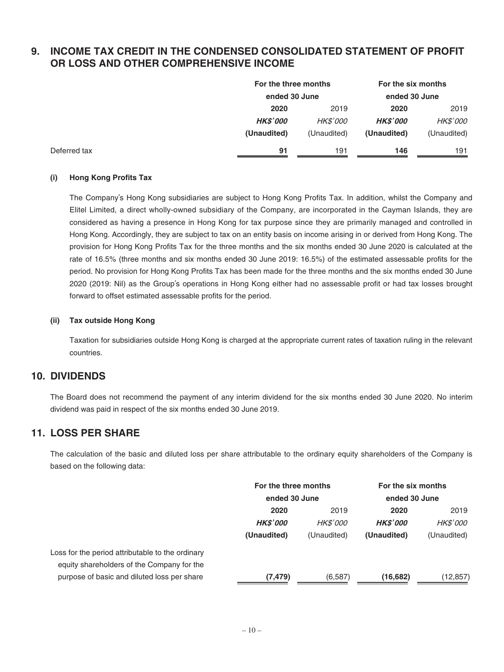### **9. INCOME TAX CREDIT IN THE CONDENSED CONSOLIDATED STATEMENT OF PROFIT OR LOSS AND OTHER COMPREHENSIVE INCOME**

|              |                 | For the three months<br>ended 30 June |                 | For the six months<br>ended 30 June |  |
|--------------|-----------------|---------------------------------------|-----------------|-------------------------------------|--|
|              |                 |                                       |                 |                                     |  |
|              | 2020            | 2019                                  | 2020            | 2019                                |  |
|              | <b>HK\$'000</b> | <i>HK\$'000</i>                       | <b>HK\$'000</b> | HK\$'000                            |  |
|              | (Unaudited)     | (Unaudited)                           | (Unaudited)     | (Unaudited)                         |  |
| Deferred tax | 91              | 191                                   | 146             | 191                                 |  |

#### **(i)** Hong Kong Profits Tax

The Company's Hong Kong subsidiaries are subject to Hong Kong Profits Tax. In addition, whilst the Company and Elitel Limited, a direct wholly-owned subsidiary of the Company, are incorporated in the Cayman Islands, they are considered as having a presence in Hong Kong for tax purpose since they are primarily managed and controlled in Hong Kong. Accordingly, they are subject to tax on an entity basis on income arising in or derived from Hong Kong. The provision for Hong Kong Profits Tax for the three months and the six months ended 30 June 2020 is calculated at the rate of 16.5% (three months and six months ended 30 June 2019: 16.5%) of the estimated assessable profits for the period. No provision for Hong Kong Profits Tax has been made for the three months and the six months ended 30 June 2020 (2019: Nil) as the Group's operations in Hong Kong either had no assessable profit or had tax losses brought forward to offset estimated assessable profits for the period.

#### **(ii) Tax outside Hong Kong**

Taxation for subsidiaries outside Hong Kong is charged at the appropriate current rates of taxation ruling in the relevant countries.

### **10. DIVIDENDS**

The Board does not recommend the payment of any interim dividend for the six months ended 30 June 2020. No interim dividend was paid in respect of the six months ended 30 June 2019.

### **11. LOSS PER SHARE**

The calculation of the basic and diluted loss per share attributable to the ordinary equity shareholders of the Company is based on the following data:

|                                                  | For the three months<br>ended 30 June |                 | For the six months<br>ended 30 June |                 |
|--------------------------------------------------|---------------------------------------|-----------------|-------------------------------------|-----------------|
|                                                  | 2020                                  | 2019            | 2020                                | 2019            |
|                                                  | <b>HKS'000</b>                        | <b>HK\$'000</b> | <b>HK\$'000</b>                     | <b>HK\$'000</b> |
|                                                  | (Unaudited)                           | (Unaudited)     | (Unaudited)                         | (Unaudited)     |
| Loss for the period attributable to the ordinary |                                       |                 |                                     |                 |
| equity shareholders of the Company for the       |                                       |                 |                                     |                 |
| purpose of basic and diluted loss per share      | (7, 479)                              | (6, 587)        | (16, 682)                           | (12, 857)       |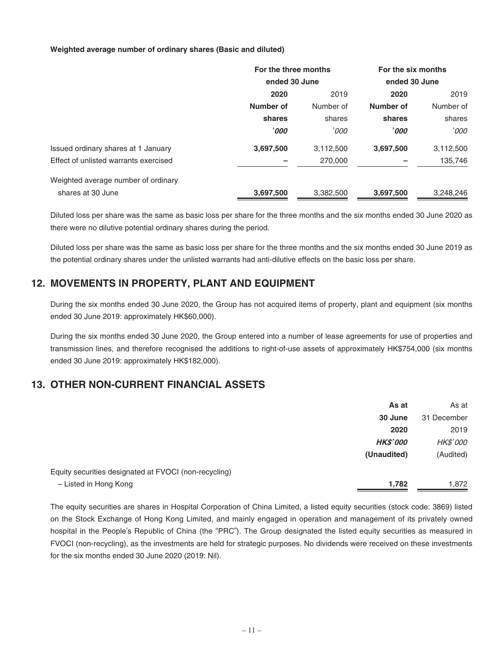#### **Weighted average number of ordinary shares (Basic and diluted)**

|                                       | For the three months<br>ended 30 June |           | For the six months<br>ended 30 June |           |
|---------------------------------------|---------------------------------------|-----------|-------------------------------------|-----------|
|                                       |                                       |           |                                     |           |
|                                       | 2020                                  | 2019      | 2020                                | 2019      |
|                                       | Number of                             | Number of | Number of                           | Number of |
|                                       | shares                                | shares    | shares                              | shares    |
|                                       | '000                                  | '000      | '000                                | '000      |
| Issued ordinary shares at 1 January   | 3,697,500                             | 3,112,500 | 3,697,500                           | 3,112,500 |
| Effect of unlisted warrants exercised |                                       | 270,000   |                                     | 135,746   |
| Weighted average number of ordinary   |                                       |           |                                     |           |
| shares at 30 June                     | 3,697,500                             | 3,382,500 | 3,697,500                           | 3,248,246 |

Diluted loss per share was the same as basic loss per share for the three months and the six months ended 30 June 2020 as there were no dilutive potential ordinary shares during the period.

Diluted loss per share was the same as basic loss per share for the three months and the six months ended 30 June 2019 as the potential ordinary shares under the unlisted warrants had anti-dilutive effects on the basic loss per share.

### **12. MOVEMENTS IN PROPERTY, PLANT AND EQUIPMENT**

During the six months ended 30 June 2020, the Group has not acquired items of property, plant and equipment (six months ended 30 June 2019: approximately HK\$60,000).

During the six months ended 30 June 2020, the Group entered into a number of lease agreements for use of properties and transmission lines, and therefore recognised the additions to right-of-use assets of approximately HK\$754,000 (six months ended 30 June 2019: approximately HK\$182,000).

### **13. OTHER NON-CURRENT FINANCIAL ASSETS**

|                                                       | As at           | As at           |
|-------------------------------------------------------|-----------------|-----------------|
|                                                       | 30 June         | 31 December     |
|                                                       | 2020            | 2019            |
|                                                       | <b>HK\$'000</b> | <i>HK\$'000</i> |
|                                                       | (Unaudited)     | (Audited)       |
| Equity securities designated at FVOCI (non-recycling) |                 |                 |
| - Listed in Hong Kong                                 | 1,782           | 1,872           |

The equity securities are shares in Hospital Corporation of China Limited, a listed equity securities (stock code: 3869) listed on the Stock Exchange of Hong Kong Limited, and mainly engaged in operation and management of its privately owned hospital in the People's Republic of China (the "PRC"). The Group designated the listed equity securities as measured in FVOCI (non-recycling), as the investments are held for strategic purposes. No dividends were received on these investments for the six months ended 30 June 2020 (2019: Nil).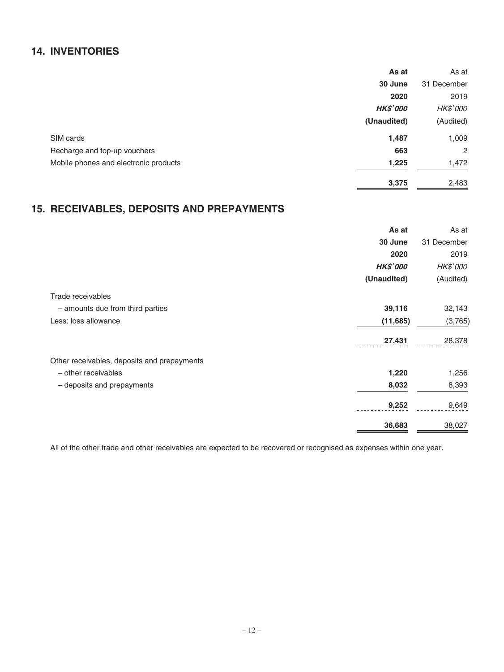### **14. INVENTORIES**

|                                       | As at           | As at          |
|---------------------------------------|-----------------|----------------|
|                                       | 30 June         | 31 December    |
|                                       | 2020            | 2019           |
|                                       | <b>HK\$'000</b> | HK\$'000       |
|                                       | (Unaudited)     | (Audited)      |
| SIM cards                             | 1,487           | 1,009          |
| Recharge and top-up vouchers          | 663             | $\overline{2}$ |
| Mobile phones and electronic products | 1,225           | 1,472          |
|                                       | 3,375           | 2,483          |

# **15. RECEIVABLES, DEPOSITS AND PREPAYMENTS**

|                                             | As at           | As at       |
|---------------------------------------------|-----------------|-------------|
|                                             | 30 June         | 31 December |
|                                             | 2020            | 2019        |
|                                             | <b>HK\$'000</b> | HK\$'000    |
|                                             | (Unaudited)     | (Audited)   |
| Trade receivables                           |                 |             |
| - amounts due from third parties            | 39,116          | 32,143      |
| Less: loss allowance                        | (11, 685)       | (3,765)     |
|                                             | 27,431          | 28,378      |
| Other receivables, deposits and prepayments |                 |             |
| - other receivables                         | 1,220           | 1,256       |
| - deposits and prepayments                  | 8,032           | 8,393       |
|                                             | 9,252           | 9,649       |
|                                             | 36,683          | 38,027      |

All of the other trade and other receivables are expected to be recovered or recognised as expenses within one year.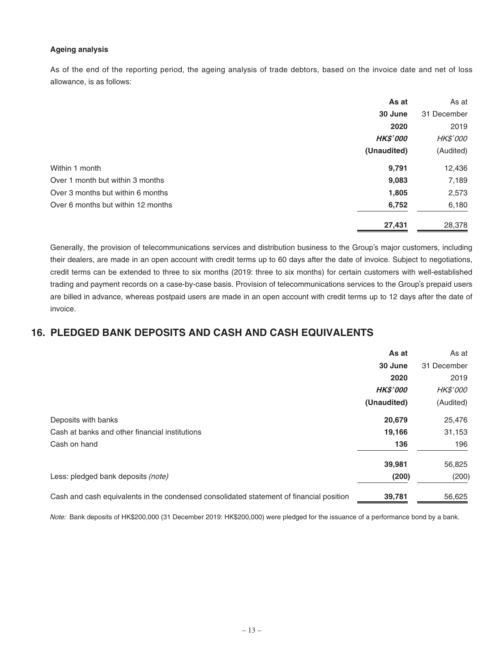#### **Ageing analysis**

As of the end of the reporting period, the ageing analysis of trade debtors, based on the invoice date and net of loss allowance, is as follows:

|                                    | As at           | As at           |
|------------------------------------|-----------------|-----------------|
|                                    | 30 June         | 31 December     |
|                                    | 2020            | 2019            |
|                                    | <b>HK\$'000</b> | <b>HK\$'000</b> |
|                                    | (Unaudited)     | (Audited)       |
| Within 1 month                     | 9,791           | 12,436          |
| Over 1 month but within 3 months   | 9,083           | 7,189           |
| Over 3 months but within 6 months  | 1,805           | 2,573           |
| Over 6 months but within 12 months | 6,752           | 6,180           |
|                                    | 27,431          | 28,378          |

Generally, the provision of telecommunications services and distribution business to the Group's major customers, including their dealers, are made in an open account with credit terms up to 60 days after the date of invoice. Subject to negotiations, credit terms can be extended to three to six months (2019: three to six months) for certain customers with well-established trading and payment records on a case-by-case basis. Provision of telecommunications services to the Group's prepaid users are billed in advance, whereas postpaid users are made in an open account with credit terms up to 12 days after the date of invoice.

### **16. PLEDGED BANK DEPOSITS AND CASH AND CASH EQUIVALENTS**

|                                                                                         | As at           | As at       |
|-----------------------------------------------------------------------------------------|-----------------|-------------|
|                                                                                         | 30 June         | 31 December |
|                                                                                         | 2020            | 2019        |
|                                                                                         | <b>HK\$'000</b> | HK\$'000    |
|                                                                                         | (Unaudited)     | (Audited)   |
| Deposits with banks                                                                     | 20,679          | 25,476      |
| Cash at banks and other financial institutions                                          | 19,166          | 31,153      |
| Cash on hand                                                                            | 136             | 196         |
|                                                                                         | 39,981          | 56,825      |
| Less: pledged bank deposits (note)                                                      | (200)           | (200)       |
| Cash and cash equivalents in the condensed consolidated statement of financial position | 39,781          | 56,625      |

Note: Bank deposits of HK\$200,000 (31 December 2019: HK\$200,000) were pledged for the issuance of a performance bond by a bank.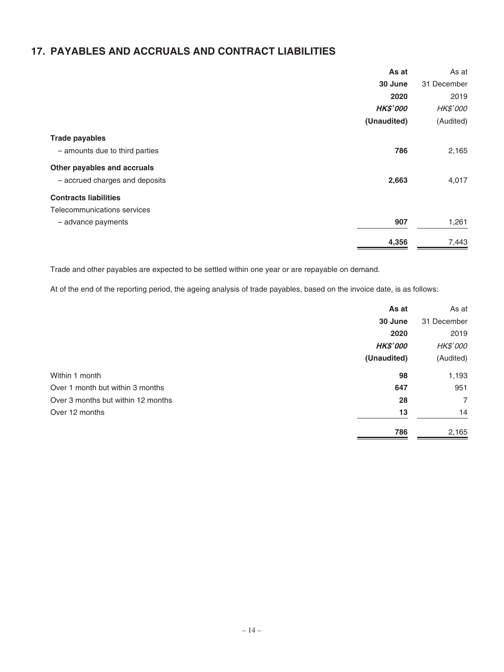# **17. PAYABLES AND ACCRUALS AND CONTRACT LIABILITIES**

|                                | As at           | As at       |
|--------------------------------|-----------------|-------------|
|                                | 30 June         | 31 December |
|                                | 2020            | 2019        |
|                                | <b>HK\$'000</b> | HK\$'000    |
|                                | (Unaudited)     | (Audited)   |
| <b>Trade payables</b>          |                 |             |
| - amounts due to third parties | 786             | 2,165       |
| Other payables and accruals    |                 |             |
| - accrued charges and deposits | 2,663           | 4,017       |
| <b>Contracts liabilities</b>   |                 |             |
| Telecommunications services    |                 |             |
| - advance payments             | 907             | 1,261       |
|                                | 4,356           | 7,443       |

Trade and other payables are expected to be settled within one year or are repayable on demand.

At of the end of the reporting period, the ageing analysis of trade payables, based on the invoice date, is as follows:

|                                    | As at           | As at          |
|------------------------------------|-----------------|----------------|
|                                    | 30 June         | 31 December    |
|                                    | 2020            | 2019           |
|                                    | <b>HK\$'000</b> | HK\$'000       |
|                                    | (Unaudited)     | (Audited)      |
| Within 1 month                     | 98              | 1,193          |
| Over 1 month but within 3 months   | 647             | 951            |
| Over 3 months but within 12 months | 28              | $\overline{7}$ |
| Over 12 months                     | 13              | 14             |
|                                    | 786             | 2,165          |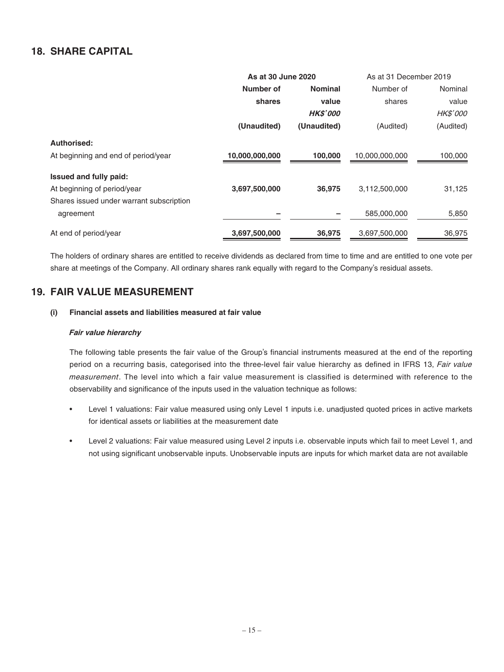### **18. SHARE CAPITAL**

|                                          | As at 30 June 2020          |                 | As at 31 December 2019 |           |
|------------------------------------------|-----------------------------|-----------------|------------------------|-----------|
|                                          | Number of<br><b>Nominal</b> |                 | Number of              | Nominal   |
|                                          | shares                      | value           | shares                 | value     |
|                                          |                             | <b>HK\$'000</b> |                        | HK\$'000  |
|                                          | (Unaudited)                 | (Unaudited)     | (Audited)              | (Audited) |
| Authorised:                              |                             |                 |                        |           |
| At beginning and end of period/year      | 10,000,000,000              | 100,000         | 10,000,000,000         | 100,000   |
| Issued and fully paid:                   |                             |                 |                        |           |
| At beginning of period/year              | 3,697,500,000               | 36,975          | 3,112,500,000          | 31,125    |
| Shares issued under warrant subscription |                             |                 |                        |           |
| agreement                                |                             |                 | 585,000,000            | 5,850     |
| At end of period/year                    | 3,697,500,000               | 36,975          | 3,697,500,000          | 36,975    |

The holders of ordinary shares are entitled to receive dividends as declared from time to time and are entitled to one vote per share at meetings of the Company. All ordinary shares rank equally with regard to the Company's residual assets.

### **19. FAIR VALUE MEASUREMENT**

#### **(i) Financial assets and liabilities measured at fair value**

#### **Fair value hierarchy**

The following table presents the fair value of the Group's financial instruments measured at the end of the reporting period on a recurring basis, categorised into the three-level fair value hierarchy as defined in IFRS 13, Fair value measurement. The level into which a fair value measurement is classified is determined with reference to the observability and significance of the inputs used in the valuation technique as follows:

- Level 1 valuations: Fair value measured using only Level 1 inputs i.e. unadjusted quoted prices in active markets for identical assets or liabilities at the measurement date
- Level 2 valuations: Fair value measured using Level 2 inputs i.e. observable inputs which fail to meet Level 1, and not using significant unobservable inputs. Unobservable inputs are inputs for which market data are not available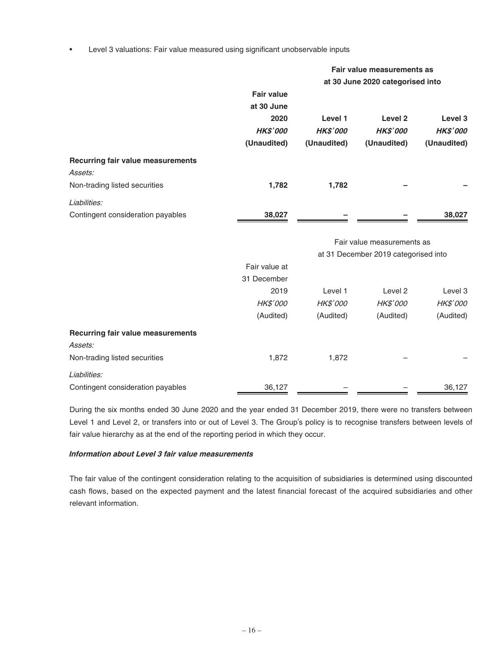• Level 3 valuations: Fair value measured using significant unobservable inputs

|                                              |                                                                           |                                           | Fair value measurements as                                         |                                                      |
|----------------------------------------------|---------------------------------------------------------------------------|-------------------------------------------|--------------------------------------------------------------------|------------------------------------------------------|
|                                              | at 30 June 2020 categorised into                                          |                                           |                                                                    |                                                      |
|                                              | <b>Fair value</b><br>at 30 June<br>2020<br><b>HK\$'000</b><br>(Unaudited) | Level 1<br><b>HK\$'000</b><br>(Unaudited) | Level <sub>2</sub><br><b>HK\$'000</b><br>(Unaudited)               | Level <sub>3</sub><br><b>HK\$'000</b><br>(Unaudited) |
| Recurring fair value measurements<br>Assets: |                                                                           |                                           |                                                                    |                                                      |
| Non-trading listed securities                | 1,782                                                                     | 1,782                                     |                                                                    |                                                      |
| Liabilities:                                 |                                                                           |                                           |                                                                    |                                                      |
| Contingent consideration payables            | 38,027                                                                    |                                           |                                                                    | 38,027                                               |
|                                              |                                                                           |                                           | Fair value measurements as<br>at 31 December 2019 categorised into |                                                      |
|                                              | Fair value at                                                             |                                           |                                                                    |                                                      |
|                                              | 31 December                                                               |                                           |                                                                    |                                                      |
|                                              | 2019                                                                      | Level 1                                   | Level <sub>2</sub>                                                 | Level <sub>3</sub>                                   |
|                                              | HK\$'000                                                                  | HK\$'000                                  | HK\$'000                                                           | HK\$'000                                             |
|                                              | (Audited)                                                                 | (Audited)                                 | (Audited)                                                          | (Audited)                                            |
| Recurring fair value measurements<br>Assets: |                                                                           |                                           |                                                                    |                                                      |
| Non-trading listed securities                | 1,872                                                                     | 1,872                                     |                                                                    |                                                      |
| Liabilities:                                 |                                                                           |                                           |                                                                    |                                                      |
| Contingent consideration payables            | 36,127                                                                    |                                           |                                                                    | 36,127                                               |

During the six months ended 30 June 2020 and the year ended 31 December 2019, there were no transfers between Level 1 and Level 2, or transfers into or out of Level 3. The Group's policy is to recognise transfers between levels of fair value hierarchy as at the end of the reporting period in which they occur.

#### **Information about Level 3 fair value measurements**

The fair value of the contingent consideration relating to the acquisition of subsidiaries is determined using discounted cash flows, based on the expected payment and the latest financial forecast of the acquired subsidiaries and other relevant information.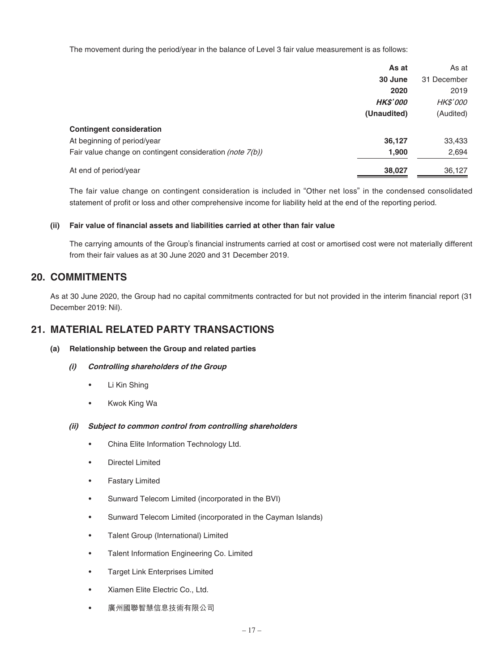The movement during the period/year in the balance of Level 3 fair value measurement is as follows:

|                                                           | As at           | As at           |
|-----------------------------------------------------------|-----------------|-----------------|
|                                                           | 30 June         | 31 December     |
|                                                           | 2020            | 2019            |
|                                                           | <b>HK\$'000</b> | <b>HK\$'000</b> |
|                                                           | (Unaudited)     | (Audited)       |
| <b>Contingent consideration</b>                           |                 |                 |
| At beginning of period/year                               | 36,127          | 33,433          |
| Fair value change on contingent consideration (note 7(b)) | 1,900           | 2,694           |
| At end of period/year                                     | 38,027          | 36,127          |

The fair value change on contingent consideration is included in "Other net loss" in the condensed consolidated statement of profit or loss and other comprehensive income for liability held at the end of the reporting period.

#### (ii) Fair value of financial assets and liabilities carried at other than fair value

The carrying amounts of the Group's financial instruments carried at cost or amortised cost were not materially different from their fair values as at 30 June 2020 and 31 December 2019.

### **20. COMMITMENTS**

As at 30 June 2020, the Group had no capital commitments contracted for but not provided in the interim financial report (31 December 2019: Nil).

### **21. MATERIAL RELATED PARTY TRANSACTIONS**

#### **(a) Relationship between the Group and related parties**

#### **(i) Controlling shareholders of the Group**

- Li Kin Shing
- Kwok King Wa

#### **(ii) Subject to common control from controlling shareholders**

- China Elite Information Technology Ltd.
- Directel Limited
- Fastary Limited
- Sunward Telecom Limited (incorporated in the BVI)
- Sunward Telecom Limited (incorporated in the Cayman Islands)
- Talent Group (International) Limited
- Talent Information Engineering Co. Limited
- Target Link Enterprises Limited
- Xiamen Elite Electric Co., Ltd.
- 廣州國聯智慧信息技術有限公司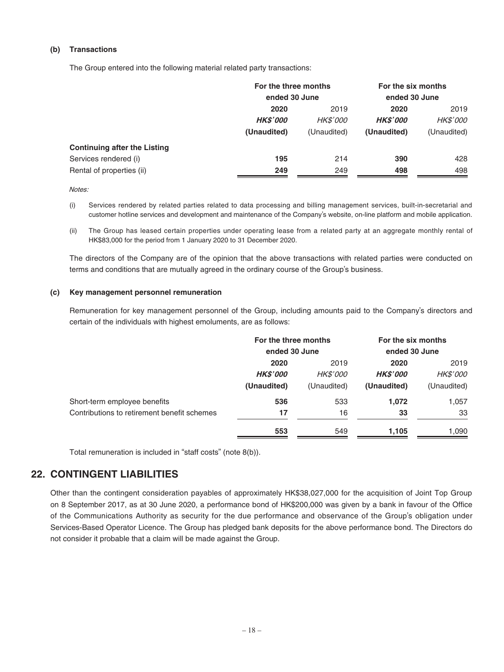#### **(b) Transactions**

The Group entered into the following material related party transactions:

|                                     |                | For the three months<br>ended 30 June |                | For the six months |  |
|-------------------------------------|----------------|---------------------------------------|----------------|--------------------|--|
|                                     |                |                                       |                | ended 30 June      |  |
|                                     | 2020           | 2019                                  | 2020           | 2019               |  |
|                                     | <b>HKS'000</b> | <i>HK\$'000</i>                       | <b>HKS'000</b> | <b>HK\$'000</b>    |  |
|                                     | (Unaudited)    | (Unaudited)                           | (Unaudited)    | (Unaudited)        |  |
| <b>Continuing after the Listing</b> |                |                                       |                |                    |  |
| Services rendered (i)               | 195            | 214                                   | 390            | 428                |  |
| Rental of properties (ii)           | 249            | 249                                   | 498            | 498                |  |

Notes:

- (i) Services rendered by related parties related to data processing and billing management services, built-in-secretarial and customer hotline services and development and maintenance of the Company's website, on-line platform and mobile application.
- (ii) The Group has leased certain properties under operating lease from a related party at an aggregate monthly rental of HK\$83,000 for the period from 1 January 2020 to 31 December 2020.

The directors of the Company are of the opinion that the above transactions with related parties were conducted on terms and conditions that are mutually agreed in the ordinary course of the Group's business.

#### **(c) Key management personnel remuneration**

Remuneration for key management personnel of the Group, including amounts paid to the Company's directors and certain of the individuals with highest emoluments, are as follows:

|                                             | For the three months |                 | For the six months |             |
|---------------------------------------------|----------------------|-----------------|--------------------|-------------|
|                                             | ended 30 June        |                 | ended 30 June      |             |
|                                             | 2020                 | 2019            | 2020               | 2019        |
|                                             | <b>HKS'000</b>       | <i>HK\$'000</i> | <b>HK\$'000</b>    | HK\$'000    |
|                                             | (Unaudited)          | (Unaudited)     | (Unaudited)        | (Unaudited) |
| Short-term employee benefits                | 536                  | 533             | 1,072              | 1,057       |
| Contributions to retirement benefit schemes | 17                   | 16              | 33                 | 33          |
|                                             | 553                  | 549             | 1.105              | 1,090       |
|                                             |                      |                 |                    |             |

Total remuneration is included in "staff costs" (note 8(b)).

### **22. CONTINGENT LIABILITIES**

Other than the contingent consideration payables of approximately HK\$38,027,000 for the acquisition of Joint Top Group on 8 September 2017, as at 30 June 2020, a performance bond of HK\$200,000 was given by a bank in favour of the Office of the Communications Authority as security for the due performance and observance of the Group's obligation under Services-Based Operator Licence. The Group has pledged bank deposits for the above performance bond. The Directors do not consider it probable that a claim will be made against the Group.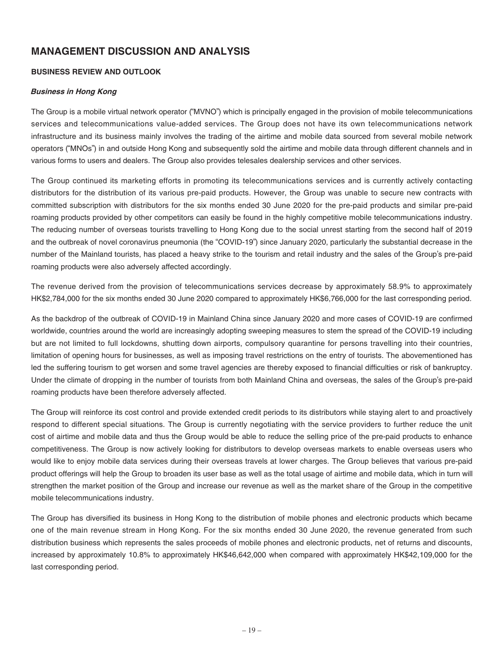### **MANAGEMENT DISCUSSION AND ANALYSIS**

#### **BUSINESS REVIEW AND OUTLOOK**

#### **Business in Hong Kong**

The Group is a mobile virtual network operator ("MVNO") which is principally engaged in the provision of mobile telecommunications services and telecommunications value-added services. The Group does not have its own telecommunications network infrastructure and its business mainly involves the trading of the airtime and mobile data sourced from several mobile network operators ("MNOs") in and outside Hong Kong and subsequently sold the airtime and mobile data through different channels and in various forms to users and dealers. The Group also provides telesales dealership services and other services.

The Group continued its marketing efforts in promoting its telecommunications services and is currently actively contacting distributors for the distribution of its various pre-paid products. However, the Group was unable to secure new contracts with committed subscription with distributors for the six months ended 30 June 2020 for the pre-paid products and similar pre-paid roaming products provided by other competitors can easily be found in the highly competitive mobile telecommunications industry. The reducing number of overseas tourists travelling to Hong Kong due to the social unrest starting from the second half of 2019 and the outbreak of novel coronavirus pneumonia (the "COVID-19") since January 2020, particularly the substantial decrease in the number of the Mainland tourists, has placed a heavy strike to the tourism and retail industry and the sales of the Group's pre-paid roaming products were also adversely affected accordingly.

The revenue derived from the provision of telecommunications services decrease by approximately 58.9% to approximately HK\$2,784,000 for the six months ended 30 June 2020 compared to approximately HK\$6,766,000 for the last corresponding period.

As the backdrop of the outbreak of COVID-19 in Mainland China since January 2020 and more cases of COVID-19 are confirmed worldwide, countries around the world are increasingly adopting sweeping measures to stem the spread of the COVID-19 including but are not limited to full lockdowns, shutting down airports, compulsory quarantine for persons travelling into their countries, limitation of opening hours for businesses, as well as imposing travel restrictions on the entry of tourists. The abovementioned has led the suffering tourism to get worsen and some travel agencies are thereby exposed to financial difficulties or risk of bankruptcy. Under the climate of dropping in the number of tourists from both Mainland China and overseas, the sales of the Group's pre-paid roaming products have been therefore adversely affected.

The Group will reinforce its cost control and provide extended credit periods to its distributors while staying alert to and proactively respond to different special situations. The Group is currently negotiating with the service providers to further reduce the unit cost of airtime and mobile data and thus the Group would be able to reduce the selling price of the pre-paid products to enhance competitiveness. The Group is now actively looking for distributors to develop overseas markets to enable overseas users who would like to enjoy mobile data services during their overseas travels at lower charges. The Group believes that various pre-paid product offerings will help the Group to broaden its user base as well as the total usage of airtime and mobile data, which in turn will strengthen the market position of the Group and increase our revenue as well as the market share of the Group in the competitive mobile telecommunications industry.

The Group has diversied its business in Hong Kong to the distribution of mobile phones and electronic products which became one of the main revenue stream in Hong Kong. For the six months ended 30 June 2020, the revenue generated from such distribution business which represents the sales proceeds of mobile phones and electronic products, net of returns and discounts, increased by approximately 10.8% to approximately HK\$46,642,000 when compared with approximately HK\$42,109,000 for the last corresponding period.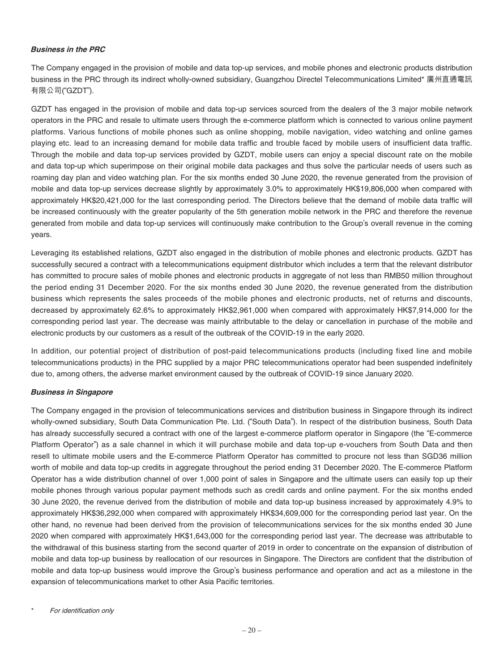#### **Business in the PRC**

The Company engaged in the provision of mobile and data top-up services, and mobile phones and electronic products distribution business in the PRC through its indirect wholly-owned subsidiary, Guangzhou Directel Telecommunications Limited\* 廣州直通電訊 有限公司("GZDT").

GZDT has engaged in the provision of mobile and data top-up services sourced from the dealers of the 3 major mobile network operators in the PRC and resale to ultimate users through the e-commerce platform which is connected to various online payment platforms. Various functions of mobile phones such as online shopping, mobile navigation, video watching and online games playing etc. lead to an increasing demand for mobile data traffic and trouble faced by mobile users of insufficient data traffic. Through the mobile and data top-up services provided by GZDT, mobile users can enjoy a special discount rate on the mobile and data top-up which superimpose on their original mobile data packages and thus solve the particular needs of users such as roaming day plan and video watching plan. For the six months ended 30 June 2020, the revenue generated from the provision of mobile and data top-up services decrease slightly by approximately 3.0% to approximately HK\$19,806,000 when compared with approximately HK\$20,421,000 for the last corresponding period. The Directors believe that the demand of mobile data traffic will be increased continuously with the greater popularity of the 5th generation mobile network in the PRC and therefore the revenue generated from mobile and data top-up services will continuously make contribution to the Group's overall revenue in the coming years.

Leveraging its established relations, GZDT also engaged in the distribution of mobile phones and electronic products. GZDT has successfully secured a contract with a telecommunications equipment distributor which includes a term that the relevant distributor has committed to procure sales of mobile phones and electronic products in aggregate of not less than RMB50 million throughout the period ending 31 December 2020. For the six months ended 30 June 2020, the revenue generated from the distribution business which represents the sales proceeds of the mobile phones and electronic products, net of returns and discounts, decreased by approximately 62.6% to approximately HK\$2,961,000 when compared with approximately HK\$7,914,000 for the corresponding period last year. The decrease was mainly attributable to the delay or cancellation in purchase of the mobile and electronic products by our customers as a result of the outbreak of the COVID-19 in the early 2020.

In addition, our potential project of distribution of post-paid telecommunications products (including fixed line and mobile telecommunications products) in the PRC supplied by a major PRC telecommunications operator had been suspended indefinitely due to, among others, the adverse market environment caused by the outbreak of COVID-19 since January 2020.

#### **Business in Singapore**

The Company engaged in the provision of telecommunications services and distribution business in Singapore through its indirect wholly-owned subsidiary, South Data Communication Pte. Ltd. ("South Data"). In respect of the distribution business, South Data has already successfully secured a contract with one of the largest e-commerce platform operator in Singapore (the "E-commerce Platform Operator") as a sale channel in which it will purchase mobile and data top-up e-vouchers from South Data and then resell to ultimate mobile users and the E-commerce Platform Operator has committed to procure not less than SGD36 million worth of mobile and data top-up credits in aggregate throughout the period ending 31 December 2020. The E-commerce Platform Operator has a wide distribution channel of over 1,000 point of sales in Singapore and the ultimate users can easily top up their mobile phones through various popular payment methods such as credit cards and online payment. For the six months ended 30 June 2020, the revenue derived from the distribution of mobile and data top-up business increased by approximately 4.9% to approximately HK\$36,292,000 when compared with approximately HK\$34,609,000 for the corresponding period last year. On the other hand, no revenue had been derived from the provision of telecommunications services for the six months ended 30 June 2020 when compared with approximately HK\$1,643,000 for the corresponding period last year. The decrease was attributable to the withdrawal of this business starting from the second quarter of 2019 in order to concentrate on the expansion of distribution of mobile and data top-up business by reallocation of our resources in Singapore. The Directors are confident that the distribution of mobile and data top-up business would improve the Group's business performance and operation and act as a milestone in the expansion of telecommunications market to other Asia Pacific territories.

For identification only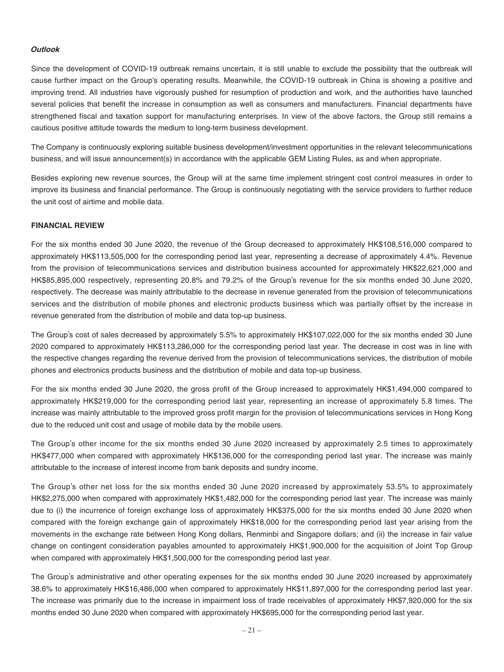#### **Outlook**

Since the development of COVID-19 outbreak remains uncertain, it is still unable to exclude the possibility that the outbreak will cause further impact on the Group's operating results. Meanwhile, the COVID-19 outbreak in China is showing a positive and improving trend. All industries have vigorously pushed for resumption of production and work, and the authorities have launched several policies that benefit the increase in consumption as well as consumers and manufacturers. Financial departments have strengthened fiscal and taxation support for manufacturing enterprises. In view of the above factors, the Group still remains a cautious positive attitude towards the medium to long-term business development.

The Company is continuously exploring suitable business development/investment opportunities in the relevant telecommunications business, and will issue announcement(s) in accordance with the applicable GEM Listing Rules, as and when appropriate.

Besides exploring new revenue sources, the Group will at the same time implement stringent cost control measures in order to improve its business and financial performance. The Group is continuously negotiating with the service providers to further reduce the unit cost of airtime and mobile data.

#### **FINANCIAL REVIEW**

For the six months ended 30 June 2020, the revenue of the Group decreased to approximately HK\$108,516,000 compared to approximately HK\$113,505,000 for the corresponding period last year, representing a decrease of approximately 4.4%. Revenue from the provision of telecommunications services and distribution business accounted for approximately HK\$22,621,000 and HK\$85,895,000 respectively, representing 20.8% and 79.2% of the Group's revenue for the six months ended 30 June 2020, respectively. The decrease was mainly attributable to the decrease in revenue generated from the provision of telecommunications services and the distribution of mobile phones and electronic products business which was partially offset by the increase in revenue generated from the distribution of mobile and data top-up business.

The Group's cost of sales decreased by approximately 5.5% to approximately HK\$107,022,000 for the six months ended 30 June 2020 compared to approximately HK\$113,286,000 for the corresponding period last year. The decrease in cost was in line with the respective changes regarding the revenue derived from the provision of telecommunications services, the distribution of mobile phones and electronics products business and the distribution of mobile and data top-up business.

For the six months ended 30 June 2020, the gross profit of the Group increased to approximately HK\$1,494,000 compared to approximately HK\$219,000 for the corresponding period last year, representing an increase of approximately 5.8 times. The increase was mainly attributable to the improved gross profit margin for the provision of telecommunications services in Hong Kong due to the reduced unit cost and usage of mobile data by the mobile users.

The Group's other income for the six months ended 30 June 2020 increased by approximately 2.5 times to approximately HK\$477,000 when compared with approximately HK\$136,000 for the corresponding period last year. The increase was mainly attributable to the increase of interest income from bank deposits and sundry income.

The Group's other net loss for the six months ended 30 June 2020 increased by approximately 53.5% to approximately HK\$2,275,000 when compared with approximately HK\$1,482,000 for the corresponding period last year. The increase was mainly due to (i) the incurrence of foreign exchange loss of approximately HK\$375,000 for the six months ended 30 June 2020 when compared with the foreign exchange gain of approximately HK\$18,000 for the corresponding period last year arising from the movements in the exchange rate between Hong Kong dollars, Renminbi and Singapore dollars; and (ii) the increase in fair value change on contingent consideration payables amounted to approximately HK\$1,900,000 for the acquisition of Joint Top Group when compared with approximately HK\$1,500,000 for the corresponding period last year.

The Group's administrative and other operating expenses for the six months ended 30 June 2020 increased by approximately 38.6% to approximately HK\$16,486,000 when compared to approximately HK\$11,897,000 for the corresponding period last year. The increase was primarily due to the increase in impairment loss of trade receivables of approximately HK\$7,920,000 for the six months ended 30 June 2020 when compared with approximately HK\$695,000 for the corresponding period last year.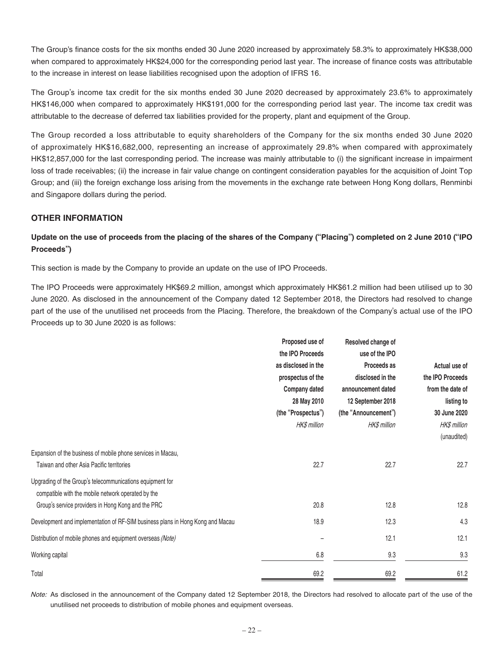The Group's finance costs for the six months ended 30 June 2020 increased by approximately 58.3% to approximately HK\$38,000 when compared to approximately HK\$24,000 for the corresponding period last year. The increase of finance costs was attributable to the increase in interest on lease liabilities recognised upon the adoption of IFRS 16.

The Group's income tax credit for the six months ended 30 June 2020 decreased by approximately 23.6% to approximately HK\$146,000 when compared to approximately HK\$191,000 for the corresponding period last year. The income tax credit was attributable to the decrease of deferred tax liabilities provided for the property, plant and equipment of the Group.

The Group recorded a loss attributable to equity shareholders of the Company for the six months ended 30 June 2020 of approximately HK\$16,682,000, representing an increase of approximately 29.8% when compared with approximately HK\$12,857,000 for the last corresponding period. The increase was mainly attributable to (i) the significant increase in impairment loss of trade receivables; (ii) the increase in fair value change on contingent consideration payables for the acquisition of Joint Top Group; and (iii) the foreign exchange loss arising from the movements in the exchange rate between Hong Kong dollars, Renminbi and Singapore dollars during the period.

#### **OTHER INFORMATION**

### **Update on the use of proceeds from the placing of the shares of the Company ("Placing") completed on 2 June 2010 ("IPO Proceeds")**

This section is made by the Company to provide an update on the use of IPO Proceeds.

The IPO Proceeds were approximately HK\$69.2 million, amongst which approximately HK\$61.2 million had been utilised up to 30 June 2020. As disclosed in the announcement of the Company dated 12 September 2018, the Directors had resolved to change part of the use of the unutilised net proceeds from the Placing. Therefore, the breakdown of the Company's actual use of the IPO Proceeds up to 30 June 2020 is as follows:

| Proposed use of     | Resolved change of   |                  |
|---------------------|----------------------|------------------|
| the IPO Proceeds    | use of the IPO       |                  |
| as disclosed in the | Proceeds as          | Actual use of    |
| prospectus of the   | disclosed in the     | the IPO Proceeds |
| Company dated       | announcement dated   | from the date of |
| 28 May 2010         | 12 September 2018    | listing to       |
| (the "Prospectus")  | (the "Announcement") | 30 June 2020     |
| HK\$ million        | HK\$ million         | HK\$ million     |
|                     |                      | (unaudited)      |
|                     |                      |                  |
| 22.7                | 22.7                 | 22.7             |
|                     |                      |                  |
|                     |                      |                  |
| 20.8                | 12.8                 | 12.8             |
| 18.9                | 12.3                 | 4.3              |
|                     | 12.1                 | 12.1             |
| 6.8                 | 9.3                  | 9.3              |
| 69.2                | 69.2                 | 61.2             |
|                     |                      |                  |

Note: As disclosed in the announcement of the Company dated 12 September 2018, the Directors had resolved to allocate part of the use of the unutilised net proceeds to distribution of mobile phones and equipment overseas.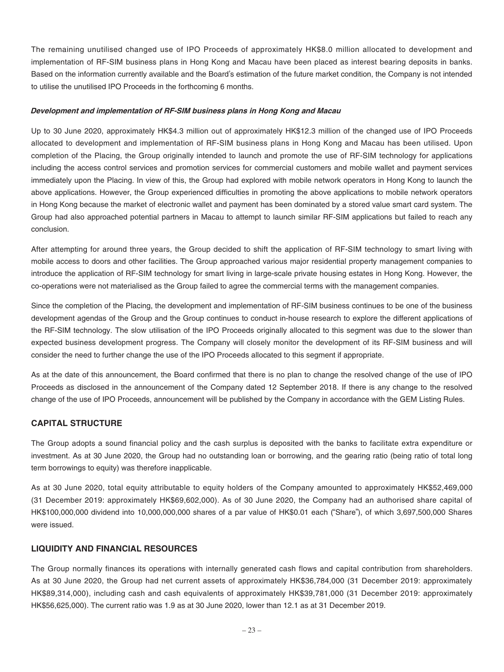The remaining unutilised changed use of IPO Proceeds of approximately HK\$8.0 million allocated to development and implementation of RF-SIM business plans in Hong Kong and Macau have been placed as interest bearing deposits in banks. Based on the information currently available and the Board's estimation of the future market condition, the Company is not intended to utilise the unutilised IPO Proceeds in the forthcoming 6 months.

#### **Development and implementation of RF-SIM business plans in Hong Kong and Macau**

Up to 30 June 2020, approximately HK\$4.3 million out of approximately HK\$12.3 million of the changed use of IPO Proceeds allocated to development and implementation of RF-SIM business plans in Hong Kong and Macau has been utilised. Upon completion of the Placing, the Group originally intended to launch and promote the use of RF-SIM technology for applications including the access control services and promotion services for commercial customers and mobile wallet and payment services immediately upon the Placing. In view of this, the Group had explored with mobile network operators in Hong Kong to launch the above applications. However, the Group experienced difficulties in promoting the above applications to mobile network operators in Hong Kong because the market of electronic wallet and payment has been dominated by a stored value smart card system. The Group had also approached potential partners in Macau to attempt to launch similar RF-SIM applications but failed to reach any conclusion.

After attempting for around three years, the Group decided to shift the application of RF-SIM technology to smart living with mobile access to doors and other facilities. The Group approached various major residential property management companies to introduce the application of RF-SIM technology for smart living in large-scale private housing estates in Hong Kong. However, the co-operations were not materialised as the Group failed to agree the commercial terms with the management companies.

Since the completion of the Placing, the development and implementation of RF-SIM business continues to be one of the business development agendas of the Group and the Group continues to conduct in-house research to explore the different applications of the RF-SIM technology. The slow utilisation of the IPO Proceeds originally allocated to this segment was due to the slower than expected business development progress. The Company will closely monitor the development of its RF-SIM business and will consider the need to further change the use of the IPO Proceeds allocated to this segment if appropriate.

As at the date of this announcement, the Board confirmed that there is no plan to change the resolved change of the use of IPO Proceeds as disclosed in the announcement of the Company dated 12 September 2018. If there is any change to the resolved change of the use of IPO Proceeds, announcement will be published by the Company in accordance with the GEM Listing Rules.

#### **CAPITAL STRUCTURE**

The Group adopts a sound financial policy and the cash surplus is deposited with the banks to facilitate extra expenditure or investment. As at 30 June 2020, the Group had no outstanding loan or borrowing, and the gearing ratio (being ratio of total long term borrowings to equity) was therefore inapplicable.

As at 30 June 2020, total equity attributable to equity holders of the Company amounted to approximately HK\$52,469,000 (31 December 2019: approximately HK\$69,602,000). As of 30 June 2020, the Company had an authorised share capital of HK\$100,000,000 dividend into 10,000,000,000 shares of a par value of HK\$0.01 each ("Share"), of which 3,697,500,000 Shares were issued.

#### **LIQUIDITY AND FINANCIAL RESOURCES**

The Group normally finances its operations with internally generated cash flows and capital contribution from shareholders. As at 30 June 2020, the Group had net current assets of approximately HK\$36,784,000 (31 December 2019: approximately HK\$89,314,000), including cash and cash equivalents of approximately HK\$39,781,000 (31 December 2019: approximately HK\$56,625,000). The current ratio was 1.9 as at 30 June 2020, lower than 12.1 as at 31 December 2019.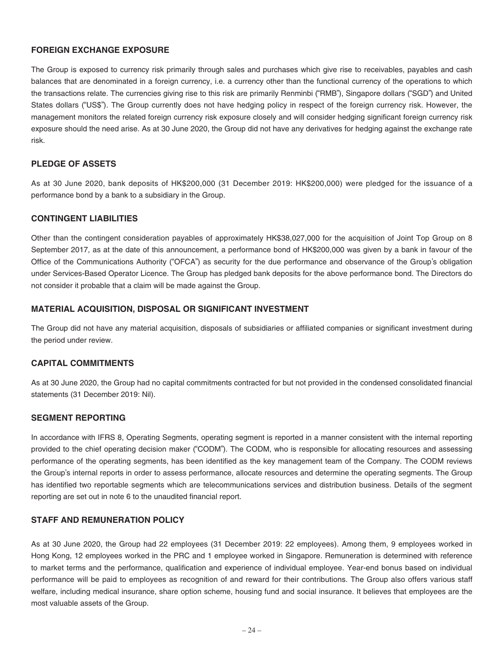#### **FOREIGN EXCHANGE EXPOSURE**

The Group is exposed to currency risk primarily through sales and purchases which give rise to receivables, payables and cash balances that are denominated in a foreign currency, i.e. a currency other than the functional currency of the operations to which the transactions relate. The currencies giving rise to this risk are primarily Renminbi ("RMB"), Singapore dollars ("SGD") and United States dollars ("US\$"). The Group currently does not have hedging policy in respect of the foreign currency risk. However, the management monitors the related foreign currency risk exposure closely and will consider hedging significant foreign currency risk exposure should the need arise. As at 30 June 2020, the Group did not have any derivatives for hedging against the exchange rate risk.

#### **PLEDGE OF ASSETS**

As at 30 June 2020, bank deposits of HK\$200,000 (31 December 2019: HK\$200,000) were pledged for the issuance of a performance bond by a bank to a subsidiary in the Group.

#### **CONTINGENT LIABILITIES**

Other than the contingent consideration payables of approximately HK\$38,027,000 for the acquisition of Joint Top Group on 8 September 2017, as at the date of this announcement, a performance bond of HK\$200,000 was given by a bank in favour of the Office of the Communications Authority ("OFCA") as security for the due performance and observance of the Group's obligation under Services-Based Operator Licence. The Group has pledged bank deposits for the above performance bond. The Directors do not consider it probable that a claim will be made against the Group.

#### **MATERIAL ACQUISITION, DISPOSAL OR SIGNIFICANT INVESTMENT**

The Group did not have any material acquisition, disposals of subsidiaries or affiliated companies or significant investment during the period under review.

#### **CAPITAL COMMITMENTS**

As at 30 June 2020, the Group had no capital commitments contracted for but not provided in the condensed consolidated financial statements (31 December 2019: Nil).

#### **SEGMENT REPORTING**

In accordance with IFRS 8, Operating Segments, operating segment is reported in a manner consistent with the internal reporting provided to the chief operating decision maker ("CODM"). The CODM, who is responsible for allocating resources and assessing performance of the operating segments, has been identified as the key management team of the Company. The CODM reviews the Group's internal reports in order to assess performance, allocate resources and determine the operating segments. The Group has identified two reportable segments which are telecommunications services and distribution business. Details of the segment reporting are set out in note 6 to the unaudited financial report.

#### **STAFF AND REMUNERATION POLICY**

As at 30 June 2020, the Group had 22 employees (31 December 2019: 22 employees). Among them, 9 employees worked in Hong Kong, 12 employees worked in the PRC and 1 employee worked in Singapore. Remuneration is determined with reference to market terms and the performance, qualification and experience of individual employee. Year-end bonus based on individual performance will be paid to employees as recognition of and reward for their contributions. The Group also offers various staff welfare, including medical insurance, share option scheme, housing fund and social insurance. It believes that employees are the most valuable assets of the Group.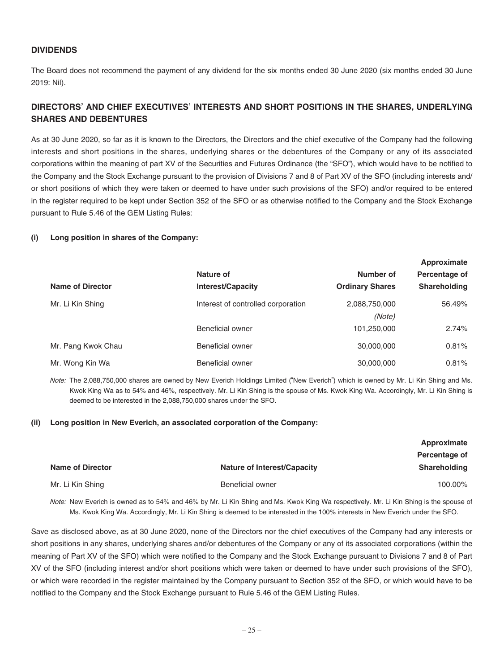#### **DIVIDENDS**

The Board does not recommend the payment of any dividend for the six months ended 30 June 2020 (six months ended 30 June 2019: Nil).

### **DIRECTORS' AND CHIEF EXECUTIVES' INTERESTS AND SHORT POSITIONS IN THE SHARES, UNDERLYING SHARES AND DEBENTURES**

As at 30 June 2020, so far as it is known to the Directors, the Directors and the chief executive of the Company had the following interests and short positions in the shares, underlying shares or the debentures of the Company or any of its associated corporations within the meaning of part XV of the Securities and Futures Ordinance (the "SFO"), which would have to be notied to the Company and the Stock Exchange pursuant to the provision of Divisions 7 and 8 of Part XV of the SFO (including interests and/ or short positions of which they were taken or deemed to have under such provisions of the SFO) and/or required to be entered in the register required to be kept under Section 352 of the SFO or as otherwise notified to the Company and the Stock Exchange pursuant to Rule 5.46 of the GEM Listing Rules:

#### **(i) Long position in shares of the Company:**

| Name of Director   | Nature of<br><b>Interest/Capacity</b> | Number of<br><b>Ordinary Shares</b> | <b>Approximate</b><br>Percentage of<br><b>Shareholding</b> |
|--------------------|---------------------------------------|-------------------------------------|------------------------------------------------------------|
| Mr. Li Kin Shing   | Interest of controlled corporation    | 2,088,750,000<br>(Note)             | 56.49%                                                     |
|                    | Beneficial owner                      | 101,250,000                         | 2.74%                                                      |
| Mr. Pang Kwok Chau | Beneficial owner                      | 30,000,000                          | 0.81%                                                      |
| Mr. Wong Kin Wa    | Beneficial owner                      | 30,000,000                          | 0.81%                                                      |

**Approximate** 

Note: The 2,088,750,000 shares are owned by New Everich Holdings Limited ("New Everich") which is owned by Mr. Li Kin Shing and Ms. Kwok King Wa as to 54% and 46%, respectively. Mr. Li Kin Shing is the spouse of Ms. Kwok King Wa. Accordingly, Mr. Li Kin Shing is deemed to be interested in the 2,088,750,000 shares under the SFO.

#### **(ii) Long position in New Everich, an associated corporation of the Company:**

|                         |                                    | Approximate   |
|-------------------------|------------------------------------|---------------|
|                         |                                    | Percentage of |
| <b>Name of Director</b> | <b>Nature of Interest/Capacity</b> | Shareholding  |
| Mr. Li Kin Shing        | Beneficial owner                   | 100.00%       |

Note: New Everich is owned as to 54% and 46% by Mr. Li Kin Shing and Ms. Kwok King Wa respectively. Mr. Li Kin Shing is the spouse of Ms. Kwok King Wa. Accordingly, Mr. Li Kin Shing is deemed to be interested in the 100% interests in New Everich under the SFO.

Save as disclosed above, as at 30 June 2020, none of the Directors nor the chief executives of the Company had any interests or short positions in any shares, underlying shares and/or debentures of the Company or any of its associated corporations (within the meaning of Part XV of the SFO) which were notified to the Company and the Stock Exchange pursuant to Divisions 7 and 8 of Part XV of the SFO (including interest and/or short positions which were taken or deemed to have under such provisions of the SFO), or which were recorded in the register maintained by the Company pursuant to Section 352 of the SFO, or which would have to be notified to the Company and the Stock Exchange pursuant to Rule 5.46 of the GEM Listing Rules.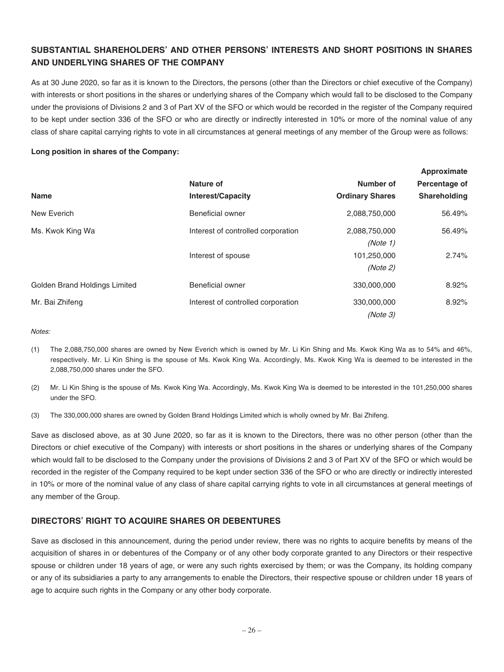### **SUBSTANTIAL SHAREHOLDERS' AND OTHER PERSONS' INTERESTS AND SHORT POSITIONS IN SHARES AND UNDERLYING SHARES OF THE COMPANY**

As at 30 June 2020, so far as it is known to the Directors, the persons (other than the Directors or chief executive of the Company) with interests or short positions in the shares or underlying shares of the Company which would fall to be disclosed to the Company under the provisions of Divisions 2 and 3 of Part XV of the SFO or which would be recorded in the register of the Company required to be kept under section 336 of the SFO or who are directly or indirectly interested in 10% or more of the nominal value of any class of share capital carrying rights to vote in all circumstances at general meetings of any member of the Group were as follows:

**Approximate** 

#### **Long position in shares of the Company:**

|                               |                                    |                        | <b>Apploximate</b>  |
|-------------------------------|------------------------------------|------------------------|---------------------|
|                               | Nature of                          | Number of              | Percentage of       |
| Name                          | <b>Interest/Capacity</b>           | <b>Ordinary Shares</b> | <b>Shareholding</b> |
| New Everich                   | Beneficial owner                   | 2,088,750,000          | 56.49%              |
| Ms. Kwok King Wa              | Interest of controlled corporation | 2,088,750,000          | 56.49%              |
|                               |                                    | (Note 1)               |                     |
|                               | Interest of spouse                 | 101,250,000            | 2.74%               |
|                               |                                    | (Note 2)               |                     |
| Golden Brand Holdings Limited | <b>Beneficial owner</b>            | 330,000,000            | 8.92%               |
| Mr. Bai Zhifeng               | Interest of controlled corporation | 330,000,000            | 8.92%               |
|                               |                                    | (Note 3)               |                     |

#### Notes:

- (1) The 2,088,750,000 shares are owned by New Everich which is owned by Mr. Li Kin Shing and Ms. Kwok King Wa as to 54% and 46%, respectively. Mr. Li Kin Shing is the spouse of Ms. Kwok King Wa. Accordingly, Ms. Kwok King Wa is deemed to be interested in the 2,088,750,000 shares under the SFO.
- (2) Mr. Li Kin Shing is the spouse of Ms. Kwok King Wa. Accordingly, Ms. Kwok King Wa is deemed to be interested in the 101,250,000 shares under the SFO.
- (3) The 330,000,000 shares are owned by Golden Brand Holdings Limited which is wholly owned by Mr. Bai Zhifeng.

Save as disclosed above, as at 30 June 2020, so far as it is known to the Directors, there was no other person (other than the Directors or chief executive of the Company) with interests or short positions in the shares or underlying shares of the Company which would fall to be disclosed to the Company under the provisions of Divisions 2 and 3 of Part XV of the SFO or which would be recorded in the register of the Company required to be kept under section 336 of the SFO or who are directly or indirectly interested in 10% or more of the nominal value of any class of share capital carrying rights to vote in all circumstances at general meetings of any member of the Group.

#### **DIRECTORS' RIGHT TO ACQUIRE SHARES OR DEBENTURES**

Save as disclosed in this announcement, during the period under review, there was no rights to acquire benefits by means of the acquisition of shares in or debentures of the Company or of any other body corporate granted to any Directors or their respective spouse or children under 18 years of age, or were any such rights exercised by them; or was the Company, its holding company or any of its subsidiaries a party to any arrangements to enable the Directors, their respective spouse or children under 18 years of age to acquire such rights in the Company or any other body corporate.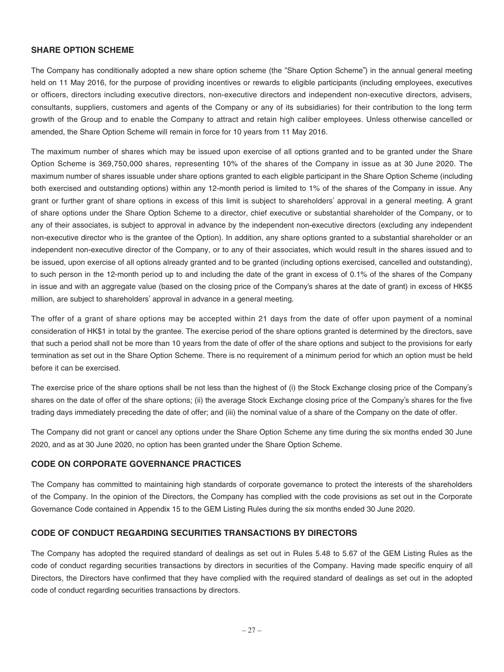#### **SHARE OPTION SCHEME**

The Company has conditionally adopted a new share option scheme (the "Share Option Scheme") in the annual general meeting held on 11 May 2016, for the purpose of providing incentives or rewards to eligible participants (including employees, executives or officers, directors including executive directors, non-executive directors and independent non-executive directors, advisers, consultants, suppliers, customers and agents of the Company or any of its subsidiaries) for their contribution to the long term growth of the Group and to enable the Company to attract and retain high caliber employees. Unless otherwise cancelled or amended, the Share Option Scheme will remain in force for 10 years from 11 May 2016.

The maximum number of shares which may be issued upon exercise of all options granted and to be granted under the Share Option Scheme is 369,750,000 shares, representing 10% of the shares of the Company in issue as at 30 June 2020. The maximum number of shares issuable under share options granted to each eligible participant in the Share Option Scheme (including both exercised and outstanding options) within any 12-month period is limited to 1% of the shares of the Company in issue. Any grant or further grant of share options in excess of this limit is subject to shareholders' approval in a general meeting. A grant of share options under the Share Option Scheme to a director, chief executive or substantial shareholder of the Company, or to any of their associates, is subject to approval in advance by the independent non-executive directors (excluding any independent non-executive director who is the grantee of the Option). In addition, any share options granted to a substantial shareholder or an independent non-executive director of the Company, or to any of their associates, which would result in the shares issued and to be issued, upon exercise of all options already granted and to be granted (including options exercised, cancelled and outstanding), to such person in the 12-month period up to and including the date of the grant in excess of 0.1% of the shares of the Company in issue and with an aggregate value (based on the closing price of the Company's shares at the date of grant) in excess of HK\$5 million, are subject to shareholders' approval in advance in a general meeting.

The offer of a grant of share options may be accepted within 21 days from the date of offer upon payment of a nominal consideration of HK\$1 in total by the grantee. The exercise period of the share options granted is determined by the directors, save that such a period shall not be more than 10 years from the date of offer of the share options and subject to the provisions for early termination as set out in the Share Option Scheme. There is no requirement of a minimum period for which an option must be held before it can be exercised.

The exercise price of the share options shall be not less than the highest of (i) the Stock Exchange closing price of the Company's shares on the date of offer of the share options; (ii) the average Stock Exchange closing price of the Company's shares for the five trading days immediately preceding the date of offer; and (iii) the nominal value of a share of the Company on the date of offer.

The Company did not grant or cancel any options under the Share Option Scheme any time during the six months ended 30 June 2020, and as at 30 June 2020, no option has been granted under the Share Option Scheme.

#### **CODE ON CORPORATE GOVERNANCE PRACTICES**

The Company has committed to maintaining high standards of corporate governance to protect the interests of the shareholders of the Company. In the opinion of the Directors, the Company has complied with the code provisions as set out in the Corporate Governance Code contained in Appendix 15 to the GEM Listing Rules during the six months ended 30 June 2020.

#### **CODE OF CONDUCT REGARDING SECURITIES TRANSACTIONS BY DIRECTORS**

The Company has adopted the required standard of dealings as set out in Rules 5.48 to 5.67 of the GEM Listing Rules as the code of conduct regarding securities transactions by directors in securities of the Company. Having made specific enquiry of all Directors, the Directors have confirmed that they have complied with the required standard of dealings as set out in the adopted code of conduct regarding securities transactions by directors.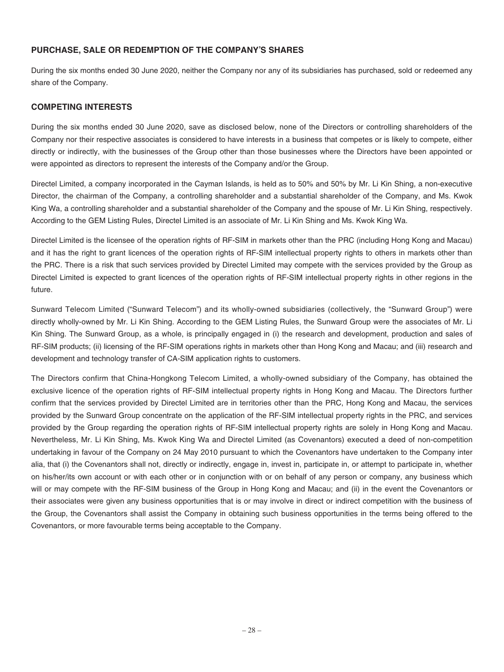#### **PURCHASE, SALE OR REDEMPTION OF THE COMPANY'S SHARES**

During the six months ended 30 June 2020, neither the Company nor any of its subsidiaries has purchased, sold or redeemed any share of the Company.

#### **COMPETING INTERESTS**

During the six months ended 30 June 2020, save as disclosed below, none of the Directors or controlling shareholders of the Company nor their respective associates is considered to have interests in a business that competes or is likely to compete, either directly or indirectly, with the businesses of the Group other than those businesses where the Directors have been appointed or were appointed as directors to represent the interests of the Company and/or the Group.

Directel Limited, a company incorporated in the Cayman Islands, is held as to 50% and 50% by Mr. Li Kin Shing, a non-executive Director, the chairman of the Company, a controlling shareholder and a substantial shareholder of the Company, and Ms. Kwok King Wa, a controlling shareholder and a substantial shareholder of the Company and the spouse of Mr. Li Kin Shing, respectively. According to the GEM Listing Rules, Directel Limited is an associate of Mr. Li Kin Shing and Ms. Kwok King Wa.

Directel Limited is the licensee of the operation rights of RF-SIM in markets other than the PRC (including Hong Kong and Macau) and it has the right to grant licences of the operation rights of RF-SIM intellectual property rights to others in markets other than the PRC. There is a risk that such services provided by Directel Limited may compete with the services provided by the Group as Directel Limited is expected to grant licences of the operation rights of RF-SIM intellectual property rights in other regions in the future.

Sunward Telecom Limited ("Sunward Telecom") and its wholly-owned subsidiaries (collectively, the "Sunward Group") were directly wholly-owned by Mr. Li Kin Shing. According to the GEM Listing Rules, the Sunward Group were the associates of Mr. Li Kin Shing. The Sunward Group, as a whole, is principally engaged in (i) the research and development, production and sales of RF-SIM products; (ii) licensing of the RF-SIM operations rights in markets other than Hong Kong and Macau; and (iii) research and development and technology transfer of CA-SIM application rights to customers.

The Directors confirm that China-Hongkong Telecom Limited, a wholly-owned subsidiary of the Company, has obtained the exclusive licence of the operation rights of RF-SIM intellectual property rights in Hong Kong and Macau. The Directors further confirm that the services provided by Directel Limited are in territories other than the PRC, Hong Kong and Macau, the services provided by the Sunward Group concentrate on the application of the RF-SIM intellectual property rights in the PRC, and services provided by the Group regarding the operation rights of RF-SIM intellectual property rights are solely in Hong Kong and Macau. Nevertheless, Mr. Li Kin Shing, Ms. Kwok King Wa and Directel Limited (as Covenantors) executed a deed of non-competition undertaking in favour of the Company on 24 May 2010 pursuant to which the Covenantors have undertaken to the Company inter alia, that (i) the Covenantors shall not, directly or indirectly, engage in, invest in, participate in, or attempt to participate in, whether on his/her/its own account or with each other or in conjunction with or on behalf of any person or company, any business which will or may compete with the RF-SIM business of the Group in Hong Kong and Macau; and (ii) in the event the Covenantors or their associates were given any business opportunities that is or may involve in direct or indirect competition with the business of the Group, the Covenantors shall assist the Company in obtaining such business opportunities in the terms being offered to the Covenantors, or more favourable terms being acceptable to the Company.